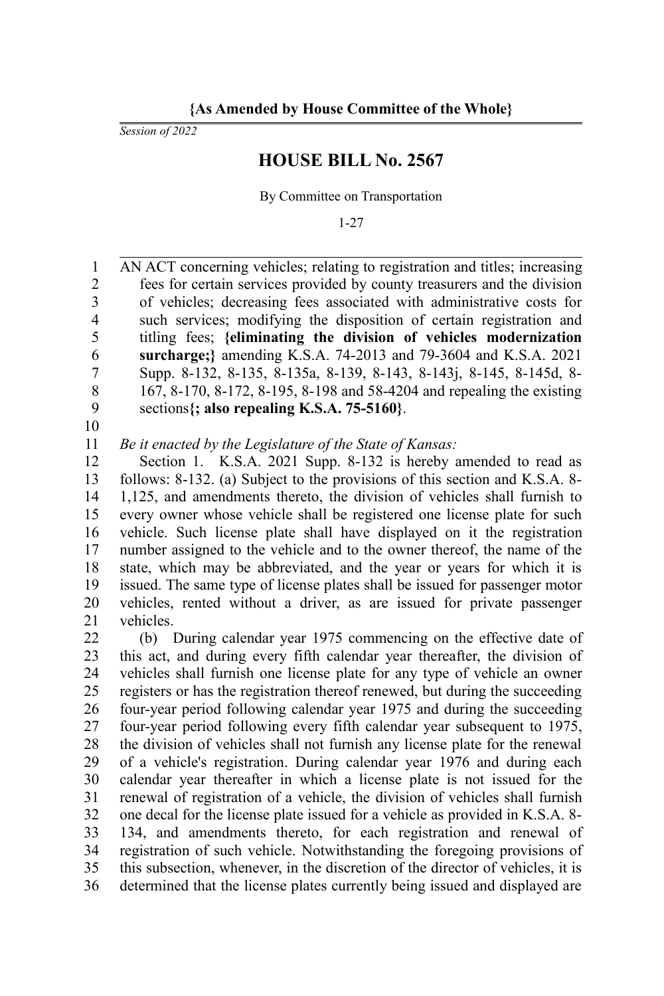**{As Amended by House Committee of the Whole}**

*Session of 2022*

## **HOUSE BILL No. 2567**

By Committee on Transportation

1-27

AN ACT concerning vehicles; relating to registration and titles; increasing fees for certain services provided by county treasurers and the division of vehicles; decreasing fees associated with administrative costs for such services; modifying the disposition of certain registration and titling fees; **{eliminating the division of vehicles modernization surcharge;}** amending K.S.A. 74-2013 and 79-3604 and K.S.A. 2021 Supp. 8-132, 8-135, 8-135a, 8-139, 8-143, 8-143j, 8-145, 8-145d, 8- 167, 8-170, 8-172, 8-195, 8-198 and 58-4204 and repealing the existing sections**{; also repealing K.S.A. 75-5160}**. 1 2 3 4 5 6 7 8 9

10

*Be it enacted by the Legislature of the State of Kansas:* 11

Section 1. K.S.A. 2021 Supp. 8-132 is hereby amended to read as follows: 8-132. (a) Subject to the provisions of this section and K.S.A. 8- 1,125, and amendments thereto, the division of vehicles shall furnish to every owner whose vehicle shall be registered one license plate for such vehicle. Such license plate shall have displayed on it the registration number assigned to the vehicle and to the owner thereof, the name of the state, which may be abbreviated, and the year or years for which it is issued. The same type of license plates shall be issued for passenger motor vehicles, rented without a driver, as are issued for private passenger vehicles. 12 13 14 15 16 17 18 19 20 21

(b) During calendar year 1975 commencing on the effective date of this act, and during every fifth calendar year thereafter, the division of vehicles shall furnish one license plate for any type of vehicle an owner registers or has the registration thereof renewed, but during the succeeding four-year period following calendar year 1975 and during the succeeding four-year period following every fifth calendar year subsequent to 1975, the division of vehicles shall not furnish any license plate for the renewal of a vehicle's registration. During calendar year 1976 and during each calendar year thereafter in which a license plate is not issued for the renewal of registration of a vehicle, the division of vehicles shall furnish one decal for the license plate issued for a vehicle as provided in K.S.A. 8- 134, and amendments thereto, for each registration and renewal of registration of such vehicle. Notwithstanding the foregoing provisions of this subsection, whenever, in the discretion of the director of vehicles, it is determined that the license plates currently being issued and displayed are 22 23 24 25 26 27 28 29 30 31 32 33 34 35 36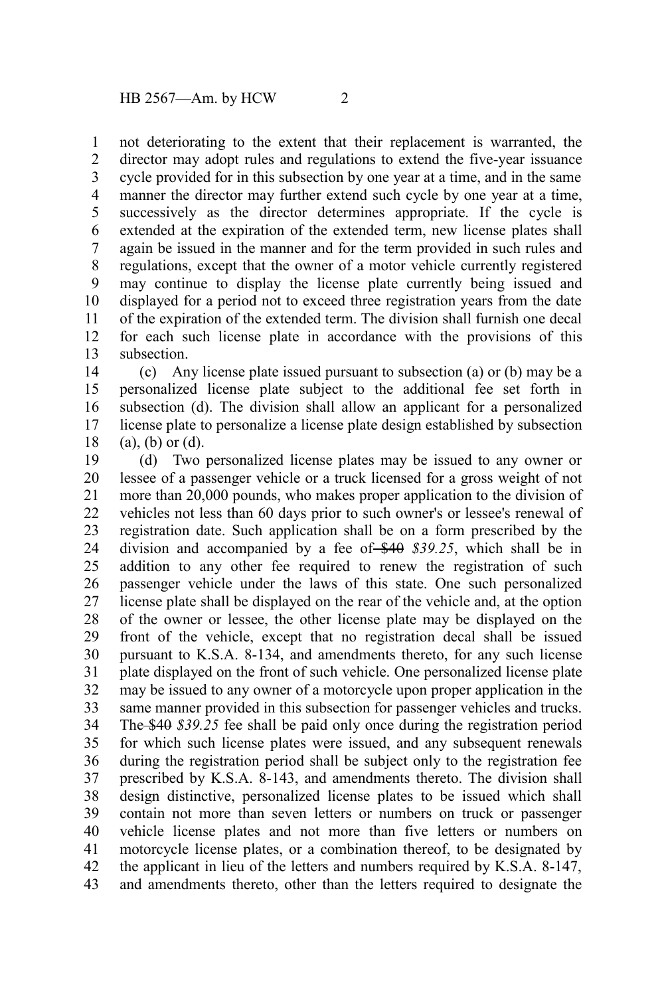not deteriorating to the extent that their replacement is warranted, the director may adopt rules and regulations to extend the five-year issuance cycle provided for in this subsection by one year at a time, and in the same manner the director may further extend such cycle by one year at a time, successively as the director determines appropriate. If the cycle is extended at the expiration of the extended term, new license plates shall again be issued in the manner and for the term provided in such rules and regulations, except that the owner of a motor vehicle currently registered may continue to display the license plate currently being issued and displayed for a period not to exceed three registration years from the date of the expiration of the extended term. The division shall furnish one decal for each such license plate in accordance with the provisions of this subsection. 1 2 3 4 5 6 7 8 9 10 11 12 13

(c) Any license plate issued pursuant to subsection (a) or (b) may be a personalized license plate subject to the additional fee set forth in subsection (d). The division shall allow an applicant for a personalized license plate to personalize a license plate design established by subsection (a), (b) or (d). 14 15 16 17 18

(d) Two personalized license plates may be issued to any owner or lessee of a passenger vehicle or a truck licensed for a gross weight of not more than 20,000 pounds, who makes proper application to the division of vehicles not less than 60 days prior to such owner's or lessee's renewal of registration date. Such application shall be on a form prescribed by the division and accompanied by a fee of \$40 \$39.25, which shall be in addition to any other fee required to renew the registration of such passenger vehicle under the laws of this state. One such personalized license plate shall be displayed on the rear of the vehicle and, at the option of the owner or lessee, the other license plate may be displayed on the front of the vehicle, except that no registration decal shall be issued pursuant to K.S.A. 8-134, and amendments thereto, for any such license plate displayed on the front of such vehicle. One personalized license plate may be issued to any owner of a motorcycle upon proper application in the same manner provided in this subsection for passenger vehicles and trucks. The \$40 *\$39.25* fee shall be paid only once during the registration period for which such license plates were issued, and any subsequent renewals during the registration period shall be subject only to the registration fee prescribed by K.S.A. 8-143, and amendments thereto. The division shall design distinctive, personalized license plates to be issued which shall contain not more than seven letters or numbers on truck or passenger vehicle license plates and not more than five letters or numbers on motorcycle license plates, or a combination thereof, to be designated by the applicant in lieu of the letters and numbers required by K.S.A. 8-147, and amendments thereto, other than the letters required to designate the 19 20 21 22 23 24 25 26 27 28 29 30 31 32 33 34 35 36 37 38 39 40 41 42 43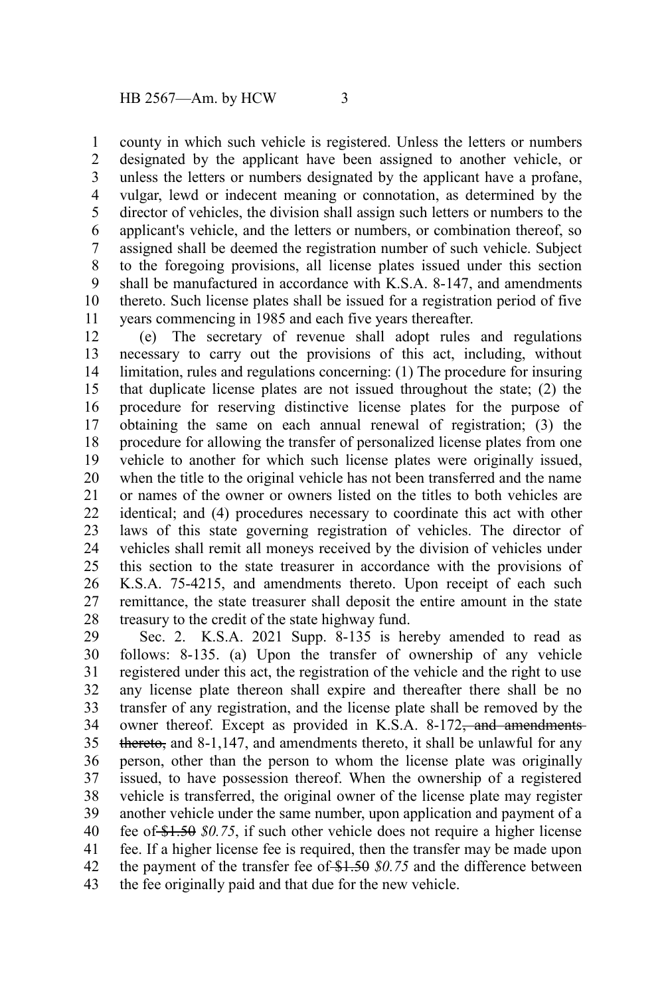county in which such vehicle is registered. Unless the letters or numbers designated by the applicant have been assigned to another vehicle, or unless the letters or numbers designated by the applicant have a profane, vulgar, lewd or indecent meaning or connotation, as determined by the director of vehicles, the division shall assign such letters or numbers to the applicant's vehicle, and the letters or numbers, or combination thereof, so assigned shall be deemed the registration number of such vehicle. Subject to the foregoing provisions, all license plates issued under this section shall be manufactured in accordance with K.S.A. 8-147, and amendments thereto. Such license plates shall be issued for a registration period of five years commencing in 1985 and each five years thereafter. 1 2 3 4 5 6 7 8 9 10 11

(e) The secretary of revenue shall adopt rules and regulations necessary to carry out the provisions of this act, including, without limitation, rules and regulations concerning: (1) The procedure for insuring that duplicate license plates are not issued throughout the state; (2) the procedure for reserving distinctive license plates for the purpose of obtaining the same on each annual renewal of registration; (3) the procedure for allowing the transfer of personalized license plates from one vehicle to another for which such license plates were originally issued, when the title to the original vehicle has not been transferred and the name or names of the owner or owners listed on the titles to both vehicles are identical; and (4) procedures necessary to coordinate this act with other laws of this state governing registration of vehicles. The director of vehicles shall remit all moneys received by the division of vehicles under this section to the state treasurer in accordance with the provisions of K.S.A. 75-4215, and amendments thereto. Upon receipt of each such remittance, the state treasurer shall deposit the entire amount in the state treasury to the credit of the state highway fund. 12 13 14 15 16 17 18 19 20 21 22 23 24 25 26 27 28

Sec. 2. K.S.A. 2021 Supp. 8-135 is hereby amended to read as follows: 8-135. (a) Upon the transfer of ownership of any vehicle registered under this act, the registration of the vehicle and the right to use any license plate thereon shall expire and thereafter there shall be no transfer of any registration, and the license plate shall be removed by the owner thereof. Except as provided in K.S.A. 8-172<del>, and amendments</del> thereto, and 8-1,147, and amendments thereto, it shall be unlawful for any person, other than the person to whom the license plate was originally issued, to have possession thereof. When the ownership of a registered vehicle is transferred, the original owner of the license plate may register another vehicle under the same number, upon application and payment of a fee of \$1.50 *\$0.75*, if such other vehicle does not require a higher license fee. If a higher license fee is required, then the transfer may be made upon the payment of the transfer fee of \$1.50 \$0.75 and the difference between the fee originally paid and that due for the new vehicle. 29 30 31 32 33 34 35 36 37 38 39 40 41 42 43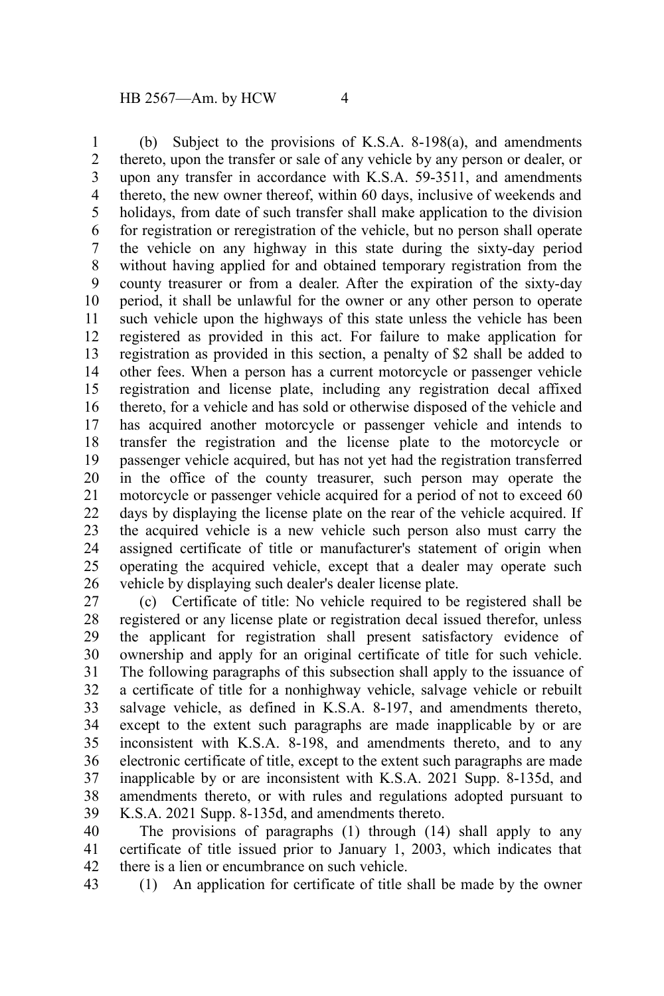(b) Subject to the provisions of K.S.A. 8-198(a), and amendments thereto, upon the transfer or sale of any vehicle by any person or dealer, or upon any transfer in accordance with K.S.A. 59-3511, and amendments thereto, the new owner thereof, within 60 days, inclusive of weekends and holidays, from date of such transfer shall make application to the division for registration or reregistration of the vehicle, but no person shall operate the vehicle on any highway in this state during the sixty-day period without having applied for and obtained temporary registration from the county treasurer or from a dealer. After the expiration of the sixty-day period, it shall be unlawful for the owner or any other person to operate such vehicle upon the highways of this state unless the vehicle has been registered as provided in this act. For failure to make application for registration as provided in this section, a penalty of \$2 shall be added to other fees. When a person has a current motorcycle or passenger vehicle registration and license plate, including any registration decal affixed thereto, for a vehicle and has sold or otherwise disposed of the vehicle and has acquired another motorcycle or passenger vehicle and intends to transfer the registration and the license plate to the motorcycle or passenger vehicle acquired, but has not yet had the registration transferred in the office of the county treasurer, such person may operate the motorcycle or passenger vehicle acquired for a period of not to exceed 60 days by displaying the license plate on the rear of the vehicle acquired. If the acquired vehicle is a new vehicle such person also must carry the assigned certificate of title or manufacturer's statement of origin when operating the acquired vehicle, except that a dealer may operate such vehicle by displaying such dealer's dealer license plate. 1 2 3 4 5 6 7 8 9 10 11 12 13 14 15 16 17 18 19 20 21 22 23 24 25 26

(c) Certificate of title: No vehicle required to be registered shall be registered or any license plate or registration decal issued therefor, unless the applicant for registration shall present satisfactory evidence of ownership and apply for an original certificate of title for such vehicle. The following paragraphs of this subsection shall apply to the issuance of a certificate of title for a nonhighway vehicle, salvage vehicle or rebuilt salvage vehicle, as defined in K.S.A. 8-197, and amendments thereto, except to the extent such paragraphs are made inapplicable by or are inconsistent with K.S.A. 8-198, and amendments thereto, and to any electronic certificate of title, except to the extent such paragraphs are made inapplicable by or are inconsistent with K.S.A. 2021 Supp. 8-135d, and amendments thereto, or with rules and regulations adopted pursuant to K.S.A. 2021 Supp. 8-135d, and amendments thereto. 27 28 29 30 31 32 33 34 35 36 37 38 39

The provisions of paragraphs (1) through (14) shall apply to any certificate of title issued prior to January 1, 2003, which indicates that there is a lien or encumbrance on such vehicle. 40 41 42

43

(1) An application for certificate of title shall be made by the owner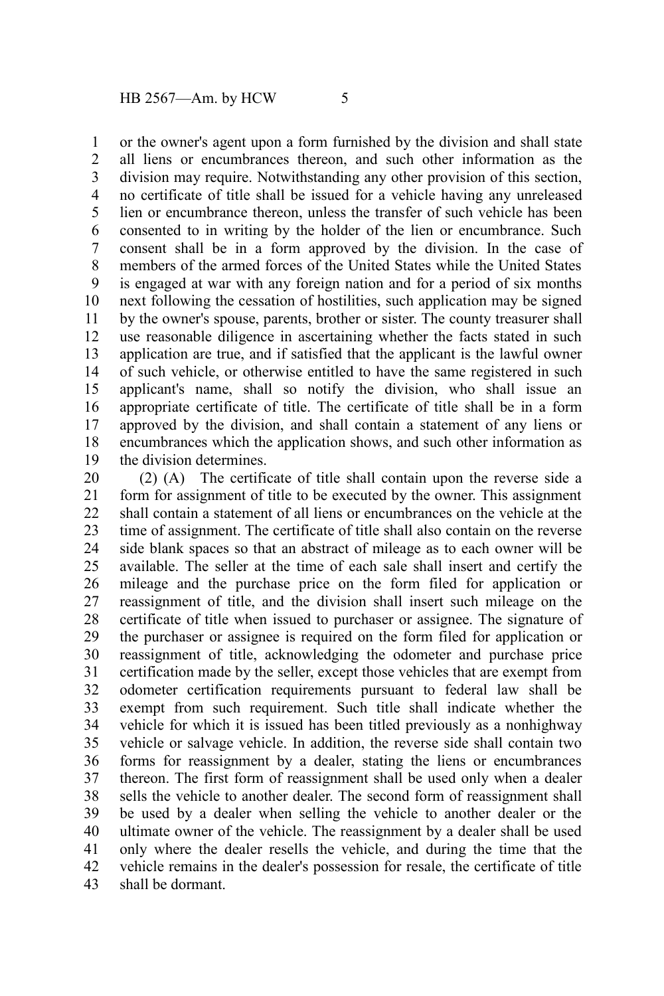or the owner's agent upon a form furnished by the division and shall state all liens or encumbrances thereon, and such other information as the division may require. Notwithstanding any other provision of this section, no certificate of title shall be issued for a vehicle having any unreleased lien or encumbrance thereon, unless the transfer of such vehicle has been consented to in writing by the holder of the lien or encumbrance. Such consent shall be in a form approved by the division. In the case of members of the armed forces of the United States while the United States is engaged at war with any foreign nation and for a period of six months next following the cessation of hostilities, such application may be signed by the owner's spouse, parents, brother or sister. The county treasurer shall use reasonable diligence in ascertaining whether the facts stated in such application are true, and if satisfied that the applicant is the lawful owner of such vehicle, or otherwise entitled to have the same registered in such applicant's name, shall so notify the division, who shall issue an appropriate certificate of title. The certificate of title shall be in a form approved by the division, and shall contain a statement of any liens or encumbrances which the application shows, and such other information as the division determines. 1 2 3 4 5 6 7 8 9 10 11 12 13 14 15 16 17 18 19

(2) (A) The certificate of title shall contain upon the reverse side a form for assignment of title to be executed by the owner. This assignment shall contain a statement of all liens or encumbrances on the vehicle at the time of assignment. The certificate of title shall also contain on the reverse side blank spaces so that an abstract of mileage as to each owner will be available. The seller at the time of each sale shall insert and certify the mileage and the purchase price on the form filed for application or reassignment of title, and the division shall insert such mileage on the certificate of title when issued to purchaser or assignee. The signature of the purchaser or assignee is required on the form filed for application or reassignment of title, acknowledging the odometer and purchase price certification made by the seller, except those vehicles that are exempt from odometer certification requirements pursuant to federal law shall be exempt from such requirement. Such title shall indicate whether the vehicle for which it is issued has been titled previously as a nonhighway vehicle or salvage vehicle. In addition, the reverse side shall contain two forms for reassignment by a dealer, stating the liens or encumbrances thereon. The first form of reassignment shall be used only when a dealer sells the vehicle to another dealer. The second form of reassignment shall be used by a dealer when selling the vehicle to another dealer or the ultimate owner of the vehicle. The reassignment by a dealer shall be used only where the dealer resells the vehicle, and during the time that the vehicle remains in the dealer's possession for resale, the certificate of title shall be dormant. 20 21 22 23 24 25 26 27 28 29 30 31 32 33 34 35 36 37 38 39 40 41 42 43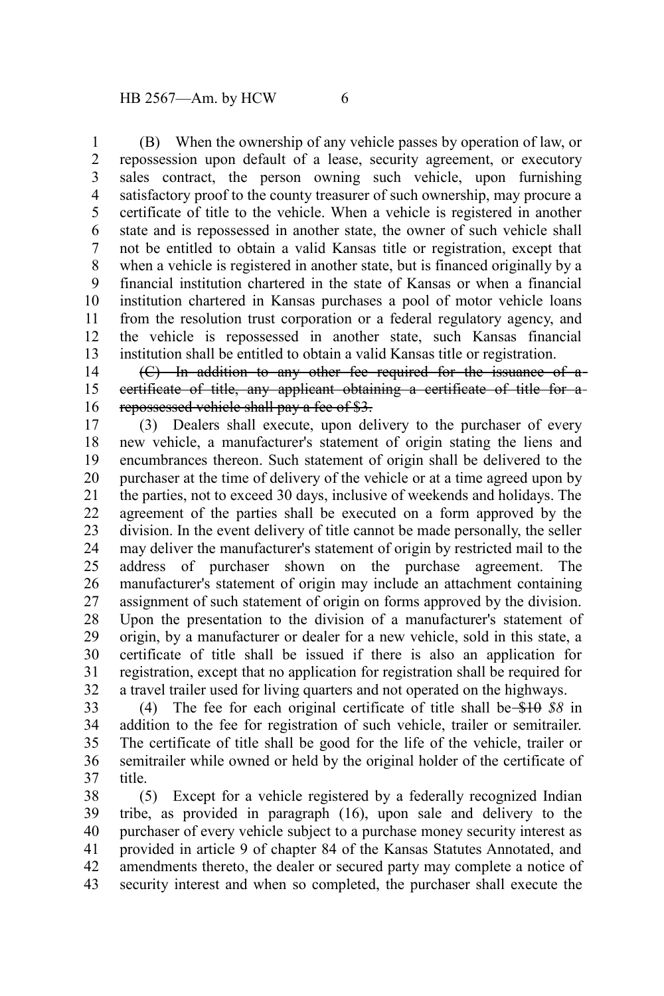(B) When the ownership of any vehicle passes by operation of law, or repossession upon default of a lease, security agreement, or executory sales contract, the person owning such vehicle, upon furnishing satisfactory proof to the county treasurer of such ownership, may procure a certificate of title to the vehicle. When a vehicle is registered in another state and is repossessed in another state, the owner of such vehicle shall not be entitled to obtain a valid Kansas title or registration, except that when a vehicle is registered in another state, but is financed originally by a financial institution chartered in the state of Kansas or when a financial institution chartered in Kansas purchases a pool of motor vehicle loans from the resolution trust corporation or a federal regulatory agency, and the vehicle is repossessed in another state, such Kansas financial institution shall be entitled to obtain a valid Kansas title or registration. 1 2 3 4 5 6 7 8 9 10 11 12 13

(C) In addition to any other fee required for the issuance of a certificate of title, any applicant obtaining a certificate of title for a repossessed vehicle shall pay a fee of \$3. 14 15 16

(3) Dealers shall execute, upon delivery to the purchaser of every new vehicle, a manufacturer's statement of origin stating the liens and encumbrances thereon. Such statement of origin shall be delivered to the purchaser at the time of delivery of the vehicle or at a time agreed upon by the parties, not to exceed 30 days, inclusive of weekends and holidays. The agreement of the parties shall be executed on a form approved by the division. In the event delivery of title cannot be made personally, the seller may deliver the manufacturer's statement of origin by restricted mail to the address of purchaser shown on the purchase agreement. The manufacturer's statement of origin may include an attachment containing assignment of such statement of origin on forms approved by the division. Upon the presentation to the division of a manufacturer's statement of origin, by a manufacturer or dealer for a new vehicle, sold in this state, a certificate of title shall be issued if there is also an application for registration, except that no application for registration shall be required for a travel trailer used for living quarters and not operated on the highways. 17 18 19 20 21 22 23 24 25 26 27 28 29 30 31 32

(4) The fee for each original certificate of title shall be \$10 *\$8* in addition to the fee for registration of such vehicle, trailer or semitrailer. The certificate of title shall be good for the life of the vehicle, trailer or semitrailer while owned or held by the original holder of the certificate of title. 33 34 35 36 37

(5) Except for a vehicle registered by a federally recognized Indian tribe, as provided in paragraph (16), upon sale and delivery to the purchaser of every vehicle subject to a purchase money security interest as provided in article 9 of chapter 84 of the Kansas Statutes Annotated, and amendments thereto, the dealer or secured party may complete a notice of security interest and when so completed, the purchaser shall execute the 38 39 40 41 42 43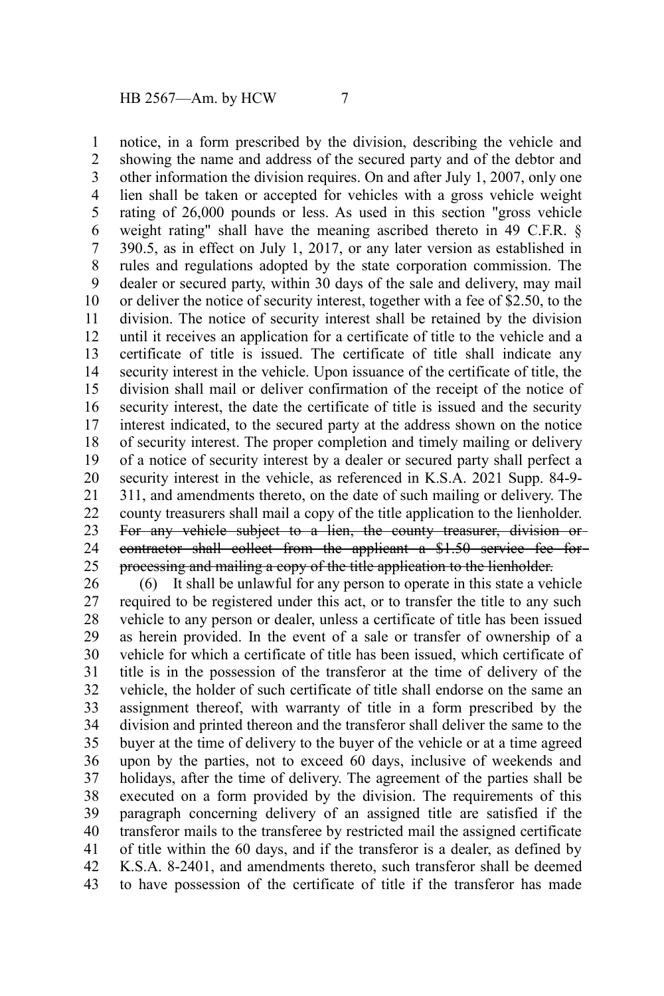notice, in a form prescribed by the division, describing the vehicle and showing the name and address of the secured party and of the debtor and other information the division requires. On and after July 1, 2007, only one lien shall be taken or accepted for vehicles with a gross vehicle weight rating of 26,000 pounds or less. As used in this section "gross vehicle weight rating" shall have the meaning ascribed thereto in 49 C.F.R. § 390.5, as in effect on July 1, 2017, or any later version as established in rules and regulations adopted by the state corporation commission. The dealer or secured party, within 30 days of the sale and delivery, may mail or deliver the notice of security interest, together with a fee of \$2.50, to the division. The notice of security interest shall be retained by the division until it receives an application for a certificate of title to the vehicle and a certificate of title is issued. The certificate of title shall indicate any security interest in the vehicle. Upon issuance of the certificate of title, the division shall mail or deliver confirmation of the receipt of the notice of security interest, the date the certificate of title is issued and the security interest indicated, to the secured party at the address shown on the notice of security interest. The proper completion and timely mailing or delivery of a notice of security interest by a dealer or secured party shall perfect a security interest in the vehicle, as referenced in K.S.A. 2021 Supp. 84-9- 311, and amendments thereto, on the date of such mailing or delivery. The county treasurers shall mail a copy of the title application to the lienholder. For any vehicle subject to a lien, the county treasurer, division or contractor shall collect from the applicant a \$1.50 service fee for processing and mailing a copy of the title application to the lienholder. 1 2 3 4 5 6 7 8 9 10 11 12 13 14 15 16 17 18 19 20 21 22 23 24 25

(6) It shall be unlawful for any person to operate in this state a vehicle required to be registered under this act, or to transfer the title to any such vehicle to any person or dealer, unless a certificate of title has been issued as herein provided. In the event of a sale or transfer of ownership of a vehicle for which a certificate of title has been issued, which certificate of title is in the possession of the transferor at the time of delivery of the vehicle, the holder of such certificate of title shall endorse on the same an assignment thereof, with warranty of title in a form prescribed by the division and printed thereon and the transferor shall deliver the same to the buyer at the time of delivery to the buyer of the vehicle or at a time agreed upon by the parties, not to exceed 60 days, inclusive of weekends and holidays, after the time of delivery. The agreement of the parties shall be executed on a form provided by the division. The requirements of this paragraph concerning delivery of an assigned title are satisfied if the transferor mails to the transferee by restricted mail the assigned certificate of title within the 60 days, and if the transferor is a dealer, as defined by K.S.A. 8-2401, and amendments thereto, such transferor shall be deemed to have possession of the certificate of title if the transferor has made 26 27 28 29 30 31 32 33 34 35 36 37 38 39 40 41 42 43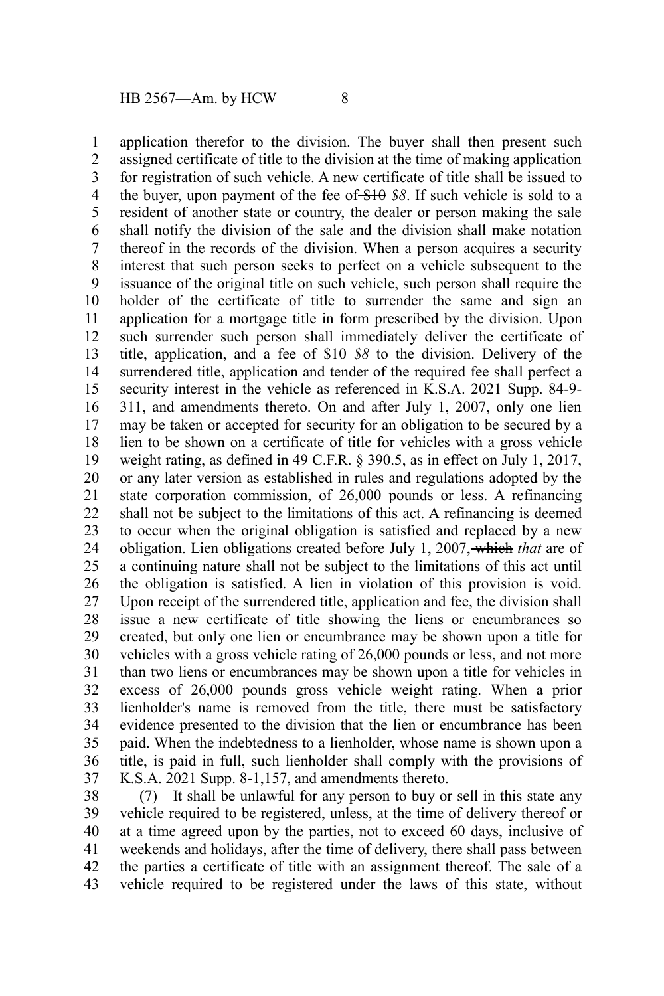application therefor to the division. The buyer shall then present such assigned certificate of title to the division at the time of making application for registration of such vehicle. A new certificate of title shall be issued to the buyer, upon payment of the fee of \$10 *\$8*. If such vehicle is sold to a resident of another state or country, the dealer or person making the sale shall notify the division of the sale and the division shall make notation thereof in the records of the division. When a person acquires a security interest that such person seeks to perfect on a vehicle subsequent to the issuance of the original title on such vehicle, such person shall require the holder of the certificate of title to surrender the same and sign an application for a mortgage title in form prescribed by the division. Upon such surrender such person shall immediately deliver the certificate of title, application, and a fee of \$10 *\$8* to the division. Delivery of the surrendered title, application and tender of the required fee shall perfect a security interest in the vehicle as referenced in K.S.A. 2021 Supp. 84-9- 311, and amendments thereto. On and after July 1, 2007, only one lien may be taken or accepted for security for an obligation to be secured by a lien to be shown on a certificate of title for vehicles with a gross vehicle weight rating, as defined in 49 C.F.R. § 390.5, as in effect on July 1, 2017, or any later version as established in rules and regulations adopted by the state corporation commission, of 26,000 pounds or less. A refinancing shall not be subject to the limitations of this act. A refinancing is deemed to occur when the original obligation is satisfied and replaced by a new obligation. Lien obligations created before July 1, 2007, which *that* are of a continuing nature shall not be subject to the limitations of this act until the obligation is satisfied. A lien in violation of this provision is void. Upon receipt of the surrendered title, application and fee, the division shall issue a new certificate of title showing the liens or encumbrances so created, but only one lien or encumbrance may be shown upon a title for vehicles with a gross vehicle rating of 26,000 pounds or less, and not more than two liens or encumbrances may be shown upon a title for vehicles in excess of 26,000 pounds gross vehicle weight rating. When a prior lienholder's name is removed from the title, there must be satisfactory evidence presented to the division that the lien or encumbrance has been paid. When the indebtedness to a lienholder, whose name is shown upon a title, is paid in full, such lienholder shall comply with the provisions of K.S.A. 2021 Supp. 8-1,157, and amendments thereto. 1 2 3 4 5 6 7 8 9 10 11 12 13 14 15 16 17 18 19 20 21 22 23 24 25 26 27 28 29 30 31 32 33 34 35 36 37

(7) It shall be unlawful for any person to buy or sell in this state any vehicle required to be registered, unless, at the time of delivery thereof or at a time agreed upon by the parties, not to exceed 60 days, inclusive of weekends and holidays, after the time of delivery, there shall pass between the parties a certificate of title with an assignment thereof. The sale of a vehicle required to be registered under the laws of this state, without 38 39 40 41 42 43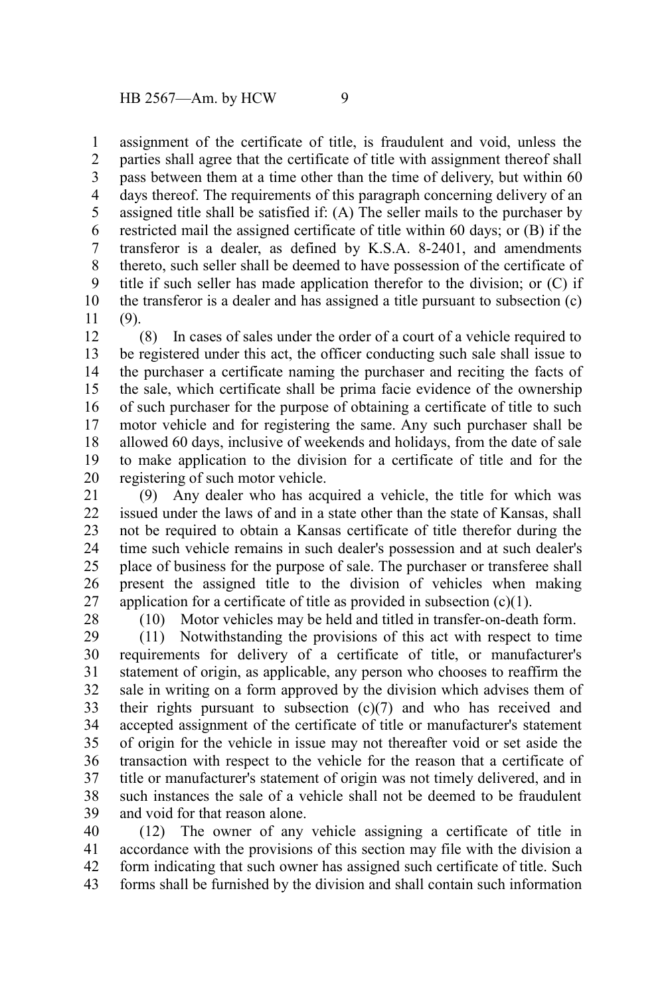assignment of the certificate of title, is fraudulent and void, unless the parties shall agree that the certificate of title with assignment thereof shall pass between them at a time other than the time of delivery, but within 60 days thereof. The requirements of this paragraph concerning delivery of an assigned title shall be satisfied if: (A) The seller mails to the purchaser by restricted mail the assigned certificate of title within 60 days; or (B) if the transferor is a dealer, as defined by K.S.A. 8-2401, and amendments thereto, such seller shall be deemed to have possession of the certificate of title if such seller has made application therefor to the division; or (C) if the transferor is a dealer and has assigned a title pursuant to subsection (c) (9). 1 2 3 4 5 6 7 8 9 10 11

(8) In cases of sales under the order of a court of a vehicle required to be registered under this act, the officer conducting such sale shall issue to the purchaser a certificate naming the purchaser and reciting the facts of the sale, which certificate shall be prima facie evidence of the ownership of such purchaser for the purpose of obtaining a certificate of title to such motor vehicle and for registering the same. Any such purchaser shall be allowed 60 days, inclusive of weekends and holidays, from the date of sale to make application to the division for a certificate of title and for the registering of such motor vehicle. 12 13 14 15 16 17 18 19 20

(9) Any dealer who has acquired a vehicle, the title for which was issued under the laws of and in a state other than the state of Kansas, shall not be required to obtain a Kansas certificate of title therefor during the time such vehicle remains in such dealer's possession and at such dealer's place of business for the purpose of sale. The purchaser or transferee shall present the assigned title to the division of vehicles when making application for a certificate of title as provided in subsection  $(c)(1)$ . 21 22 23 24 25 26 27

28

(10) Motor vehicles may be held and titled in transfer-on-death form.

(11) Notwithstanding the provisions of this act with respect to time requirements for delivery of a certificate of title, or manufacturer's statement of origin, as applicable, any person who chooses to reaffirm the sale in writing on a form approved by the division which advises them of their rights pursuant to subsection (c)(7) and who has received and accepted assignment of the certificate of title or manufacturer's statement of origin for the vehicle in issue may not thereafter void or set aside the transaction with respect to the vehicle for the reason that a certificate of title or manufacturer's statement of origin was not timely delivered, and in such instances the sale of a vehicle shall not be deemed to be fraudulent and void for that reason alone. 29 30 31 32 33 34 35 36 37 38 39

(12) The owner of any vehicle assigning a certificate of title in accordance with the provisions of this section may file with the division a form indicating that such owner has assigned such certificate of title. Such forms shall be furnished by the division and shall contain such information 40 41 42 43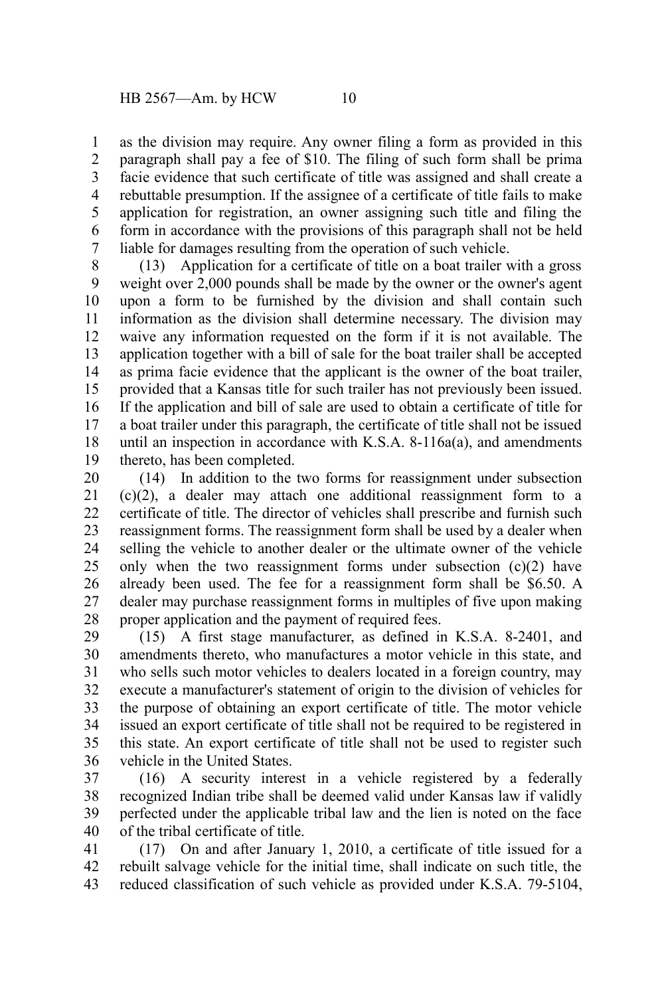as the division may require. Any owner filing a form as provided in this paragraph shall pay a fee of \$10. The filing of such form shall be prima facie evidence that such certificate of title was assigned and shall create a rebuttable presumption. If the assignee of a certificate of title fails to make application for registration, an owner assigning such title and filing the form in accordance with the provisions of this paragraph shall not be held liable for damages resulting from the operation of such vehicle. 1 2 3 4 5 6 7

(13) Application for a certificate of title on a boat trailer with a gross weight over 2,000 pounds shall be made by the owner or the owner's agent upon a form to be furnished by the division and shall contain such information as the division shall determine necessary. The division may waive any information requested on the form if it is not available. The application together with a bill of sale for the boat trailer shall be accepted as prima facie evidence that the applicant is the owner of the boat trailer, provided that a Kansas title for such trailer has not previously been issued. If the application and bill of sale are used to obtain a certificate of title for a boat trailer under this paragraph, the certificate of title shall not be issued until an inspection in accordance with K.S.A. 8-116a(a), and amendments thereto, has been completed. 8 9 10 11 12 13 14 15 16 17 18 19

(14) In addition to the two forms for reassignment under subsection (c)(2), a dealer may attach one additional reassignment form to a certificate of title. The director of vehicles shall prescribe and furnish such reassignment forms. The reassignment form shall be used by a dealer when selling the vehicle to another dealer or the ultimate owner of the vehicle only when the two reassignment forms under subsection  $(c)(2)$  have already been used. The fee for a reassignment form shall be \$6.50. A dealer may purchase reassignment forms in multiples of five upon making proper application and the payment of required fees. 20 21 22 23 24 25 26 27 28

(15) A first stage manufacturer, as defined in K.S.A. 8-2401, and amendments thereto, who manufactures a motor vehicle in this state, and who sells such motor vehicles to dealers located in a foreign country, may execute a manufacturer's statement of origin to the division of vehicles for the purpose of obtaining an export certificate of title. The motor vehicle issued an export certificate of title shall not be required to be registered in this state. An export certificate of title shall not be used to register such vehicle in the United States. 29 30 31 32 33 34 35 36

(16) A security interest in a vehicle registered by a federally recognized Indian tribe shall be deemed valid under Kansas law if validly perfected under the applicable tribal law and the lien is noted on the face of the tribal certificate of title. 37 38 39 40

(17) On and after January 1, 2010, a certificate of title issued for a rebuilt salvage vehicle for the initial time, shall indicate on such title, the reduced classification of such vehicle as provided under K.S.A. 79-5104, 41 42 43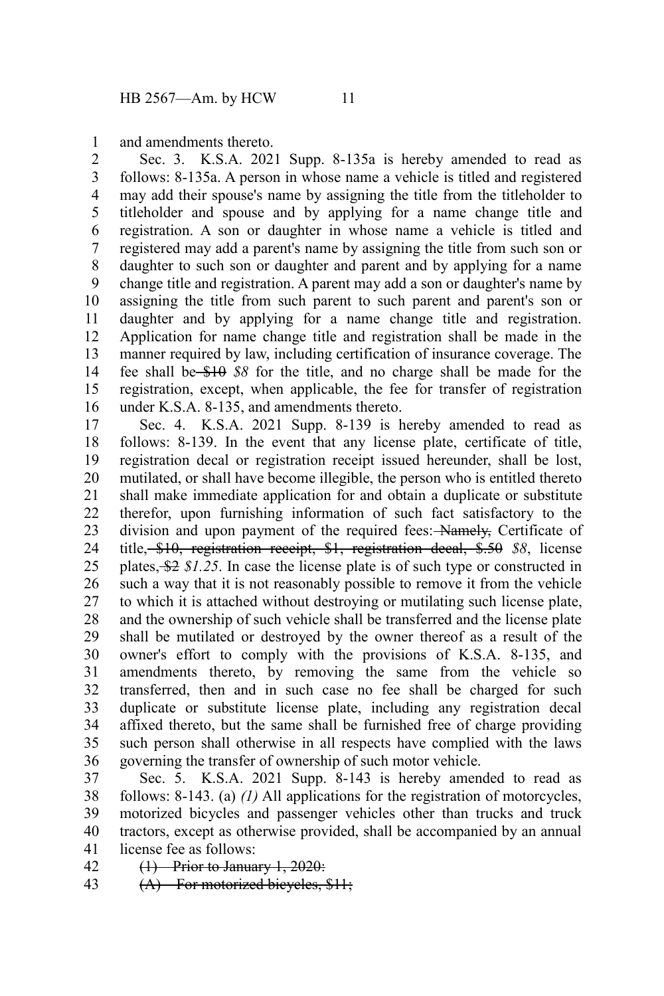and amendments thereto. 1

Sec. 3. K.S.A. 2021 Supp. 8-135a is hereby amended to read as follows: 8-135a. A person in whose name a vehicle is titled and registered may add their spouse's name by assigning the title from the titleholder to titleholder and spouse and by applying for a name change title and registration. A son or daughter in whose name a vehicle is titled and registered may add a parent's name by assigning the title from such son or daughter to such son or daughter and parent and by applying for a name change title and registration. A parent may add a son or daughter's name by assigning the title from such parent to such parent and parent's son or daughter and by applying for a name change title and registration. Application for name change title and registration shall be made in the manner required by law, including certification of insurance coverage. The fee shall be \$10 *\$8* for the title, and no charge shall be made for the registration, except, when applicable, the fee for transfer of registration under K.S.A. 8-135, and amendments thereto. 2 3 4 5 6 7 8 9 10 11 12 13 14 15 16

Sec. 4. K.S.A. 2021 Supp. 8-139 is hereby amended to read as follows: 8-139. In the event that any license plate, certificate of title, registration decal or registration receipt issued hereunder, shall be lost, mutilated, or shall have become illegible, the person who is entitled thereto shall make immediate application for and obtain a duplicate or substitute therefor, upon furnishing information of such fact satisfactory to the division and upon payment of the required fees: Namely, Certificate of title, \$10, registration receipt, \$1, registration decal, \$.50 *\$8*, license plates, \$2 *\$1.25*. In case the license plate is of such type or constructed in such a way that it is not reasonably possible to remove it from the vehicle to which it is attached without destroying or mutilating such license plate, and the ownership of such vehicle shall be transferred and the license plate shall be mutilated or destroyed by the owner thereof as a result of the owner's effort to comply with the provisions of K.S.A. 8-135, and amendments thereto, by removing the same from the vehicle so transferred, then and in such case no fee shall be charged for such duplicate or substitute license plate, including any registration decal affixed thereto, but the same shall be furnished free of charge providing such person shall otherwise in all respects have complied with the laws governing the transfer of ownership of such motor vehicle. 17 18 19 20 21 22 23 24 25 26 27 28 29 30 31 32 33 34 35 36

Sec. 5. K.S.A. 2021 Supp. 8-143 is hereby amended to read as follows: 8-143. (a) *(1)* All applications for the registration of motorcycles, motorized bicycles and passenger vehicles other than trucks and truck tractors, except as otherwise provided, shall be accompanied by an annual license fee as follows: 37 38 39 40 41

(1) Prior to January 1, 2020: 42

(A) For motorized bicycles, \$11; 43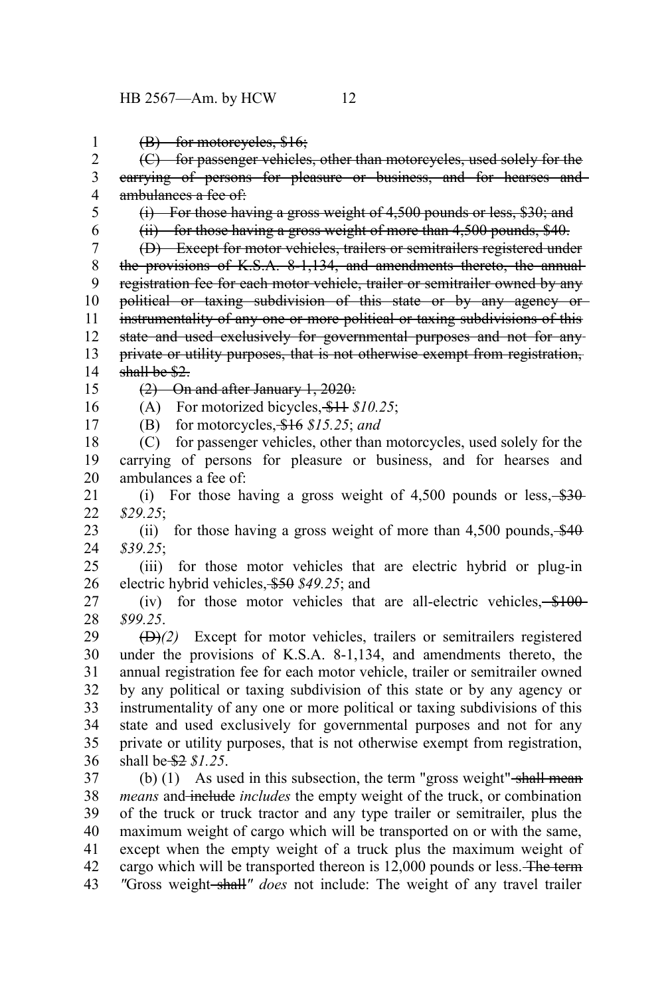(B) for motorcycles, \$16; (C) for passenger vehicles, other than motorcycles, used solely for the carrying of persons for pleasure or business, and for hearses and ambulances a fee of: (i) For those having a gross weight of 4,500 pounds or less, \$30; and (ii) for those having a gross weight of more than 4,500 pounds, \$40. (D) Except for motor vehicles, trailers or semitrailers registered under the provisions of K.S.A. 8-1,134, and amendments thereto, the annualregistration fee for each motor vehicle, trailer or semitrailer owned by any political or taxing subdivision of this state or by any agency or instrumentality of any one or more political or taxing subdivisions of this state and used exclusively for governmental purposes and not for any private or utility purposes, that is not otherwise exempt from registration, shall be \$2. (2) On and after January 1, 2020: (A) For motorized bicycles, \$11 *\$10.25*; (B) for motorcycles, \$16 *\$15.25*; *and* (C) for passenger vehicles, other than motorcycles, used solely for the carrying of persons for pleasure or business, and for hearses and ambulances a fee of: (i) For those having a gross weight of  $4,500$  pounds or less,  $\frac{$30}{10}$ *\$29.25*; (ii) for those having a gross weight of more than  $4,500$  pounds,  $\frac{$40}{90}$ *\$39.25*; (iii) for those motor vehicles that are electric hybrid or plug-in electric hybrid vehicles, \$50 *\$49.25*; and (iv) for those motor vehicles that are all-electric vehicles,  $$100$ *\$99.25*. (D)*(2)* Except for motor vehicles, trailers or semitrailers registered under the provisions of K.S.A. 8-1,134, and amendments thereto, the annual registration fee for each motor vehicle, trailer or semitrailer owned by any political or taxing subdivision of this state or by any agency or instrumentality of any one or more political or taxing subdivisions of this state and used exclusively for governmental purposes and not for any private or utility purposes, that is not otherwise exempt from registration, shall be \$2 *\$1.25*. (b)  $(1)$  As used in this subsection, the term "gross weight" shall mean *means* and include *includes* the empty weight of the truck, or combination of the truck or truck tractor and any type trailer or semitrailer, plus the maximum weight of cargo which will be transported on or with the same, except when the empty weight of a truck plus the maximum weight of 1 2 3 4 5 6 7 8 9 10 11 12 13 14 15 16 17 18 19 20 21 22 23 24 25 26 27 28 29 30 31 32 33 34 35 36 37 38 39 40 41

cargo which will be transported thereon is 12,000 pounds or less. The term *"*Gross weight shall*" does* not include: The weight of any travel trailer 42 43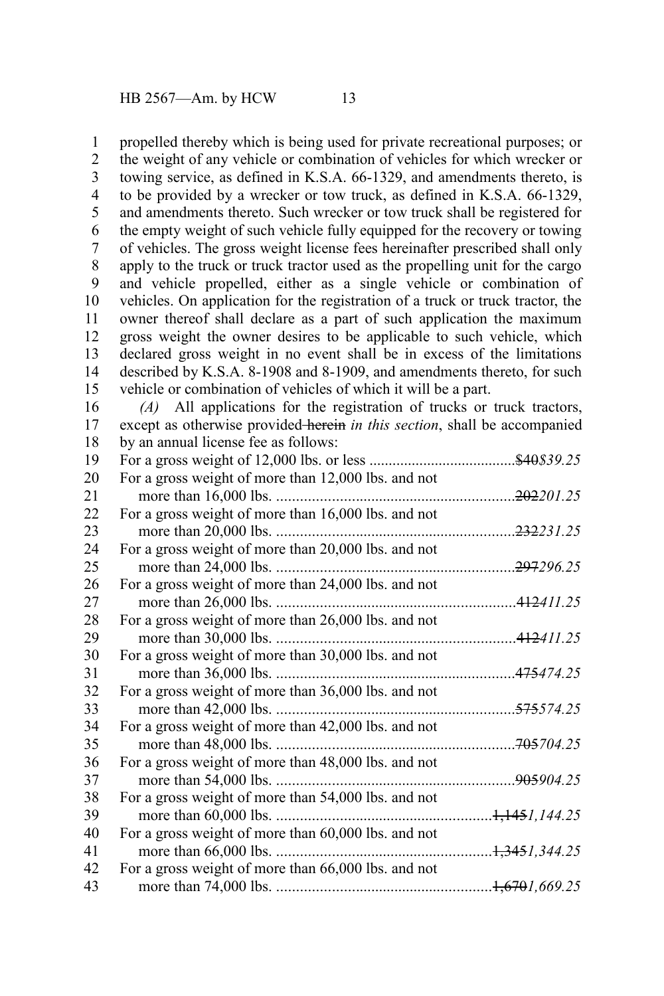propelled thereby which is being used for private recreational purposes; or the weight of any vehicle or combination of vehicles for which wrecker or towing service, as defined in K.S.A. 66-1329, and amendments thereto, is to be provided by a wrecker or tow truck, as defined in K.S.A. 66-1329, and amendments thereto. Such wrecker or tow truck shall be registered for the empty weight of such vehicle fully equipped for the recovery or towing of vehicles. The gross weight license fees hereinafter prescribed shall only apply to the truck or truck tractor used as the propelling unit for the cargo and vehicle propelled, either as a single vehicle or combination of vehicles. On application for the registration of a truck or truck tractor, the owner thereof shall declare as a part of such application the maximum gross weight the owner desires to be applicable to such vehicle, which declared gross weight in no event shall be in excess of the limitations described by K.S.A. 8-1908 and 8-1909, and amendments thereto, for such vehicle or combination of vehicles of which it will be a part. 1 2 3 4 5 6 7 8 9 10 11 12 13 14 15

*(A)* All applications for the registration of trucks or truck tractors, except as otherwise provided herein *in this section*, shall be accompanied by an annual license fee as follows: 16 17 18

| 19 |                                                     | <del>\$40</del> \$39.25 |
|----|-----------------------------------------------------|-------------------------|
| 20 | For a gross weight of more than 12,000 lbs. and not |                         |
| 21 |                                                     | 202201.25               |
| 22 | For a gross weight of more than 16,000 lbs. and not |                         |
| 23 |                                                     | . <del>232</del> 231.25 |
| 24 | For a gross weight of more than 20,000 lbs. and not |                         |
| 25 |                                                     | <del>297</del> 296.25   |
| 26 | For a gross weight of more than 24,000 lbs. and not |                         |
| 27 |                                                     | . <del>412</del> 411.25 |
| 28 | For a gross weight of more than 26,000 lbs. and not |                         |
| 29 |                                                     | . <del>412</del> 411.25 |
| 30 | For a gross weight of more than 30,000 lbs. and not |                         |
| 31 |                                                     | <del>475</del> 474.25   |
| 32 | For a gross weight of more than 36,000 lbs. and not |                         |
| 33 | more than 42,000 lbs.                               | <del>575</del> 574.25   |
| 34 | For a gross weight of more than 42,000 lbs. and not |                         |
| 35 |                                                     | . <del>705</del> 704.25 |
| 36 | For a gross weight of more than 48,000 lbs. and not |                         |
| 37 | more than 54,000 lbs.                               | <del>905</del> 904.25   |
| 38 | For a gross weight of more than 54,000 lbs. and not |                         |
| 39 |                                                     | $. + 1451.144.25$       |
| 40 | For a gross weight of more than 60,000 lbs. and not |                         |
| 41 |                                                     |                         |
| 42 | For a gross weight of more than 66,000 lbs. and not |                         |
| 43 |                                                     | $. + 6701, 669.25$      |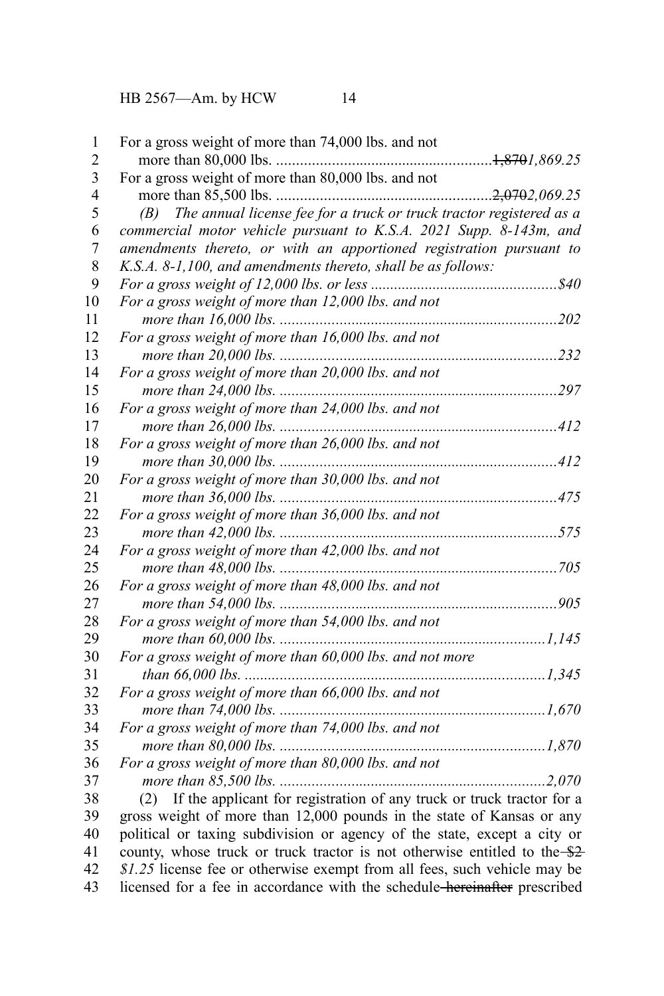HB 2567—Am. by HCW 14

| 1              | For a gross weight of more than 74,000 lbs. and not                        |
|----------------|----------------------------------------------------------------------------|
| $\overline{c}$ |                                                                            |
| 3              | For a gross weight of more than 80,000 lbs. and not                        |
| $\overline{4}$ |                                                                            |
| 5              | (B) The annual license fee for a truck or truck tractor registered as a    |
| 6              | commercial motor vehicle pursuant to K.S.A. 2021 Supp. 8-143m, and         |
| $\overline{7}$ | amendments thereto, or with an apportioned registration pursuant to        |
| 8              | K.S.A. 8-1,100, and amendments thereto, shall be as follows:               |
| 9              |                                                                            |
| 10             | For a gross weight of more than 12,000 lbs. and not                        |
| 11             |                                                                            |
| 12             | For a gross weight of more than 16,000 lbs. and not                        |
| 13             |                                                                            |
| 14             | For a gross weight of more than 20,000 lbs. and not                        |
| 15             |                                                                            |
| 16             | For a gross weight of more than 24,000 lbs. and not                        |
| 17             |                                                                            |
| 18             | For a gross weight of more than 26,000 lbs. and not                        |
| 19             |                                                                            |
| 20             | For a gross weight of more than 30,000 lbs. and not                        |
| 21             |                                                                            |
| 22             | For a gross weight of more than 36,000 lbs. and not                        |
| 23             |                                                                            |
| 24             |                                                                            |
| 25             |                                                                            |
| 26             | For a gross weight of more than 48,000 lbs. and not                        |
| 27             |                                                                            |
| 28             | For a gross weight of more than 54,000 lbs. and not                        |
| 29             |                                                                            |
| 30             | For a gross weight of more than 60,000 lbs. and not more                   |
| 31             |                                                                            |
| 32             | For a gross weight of more than 66,000 lbs. and not                        |
| 33             |                                                                            |
| 34             | For a gross weight of more than 74,000 lbs. and not                        |
| 35             |                                                                            |
| 36             | For a gross weight of more than 80,000 lbs. and not                        |
| 37             |                                                                            |
| 38             | (2) If the applicant for registration of any truck or truck tractor for a  |
| 39             | gross weight of more than 12,000 pounds in the state of Kansas or any      |
| 40             | political or taxing subdivision or agency of the state, except a city or   |
| 41             | county, whose truck or truck tractor is not otherwise entitled to the \$2- |
| 42             | \$1.25 license fee or otherwise exempt from all fees, such vehicle may be  |
| 43             | licensed for a fee in accordance with the schedule-hereinafter prescribed  |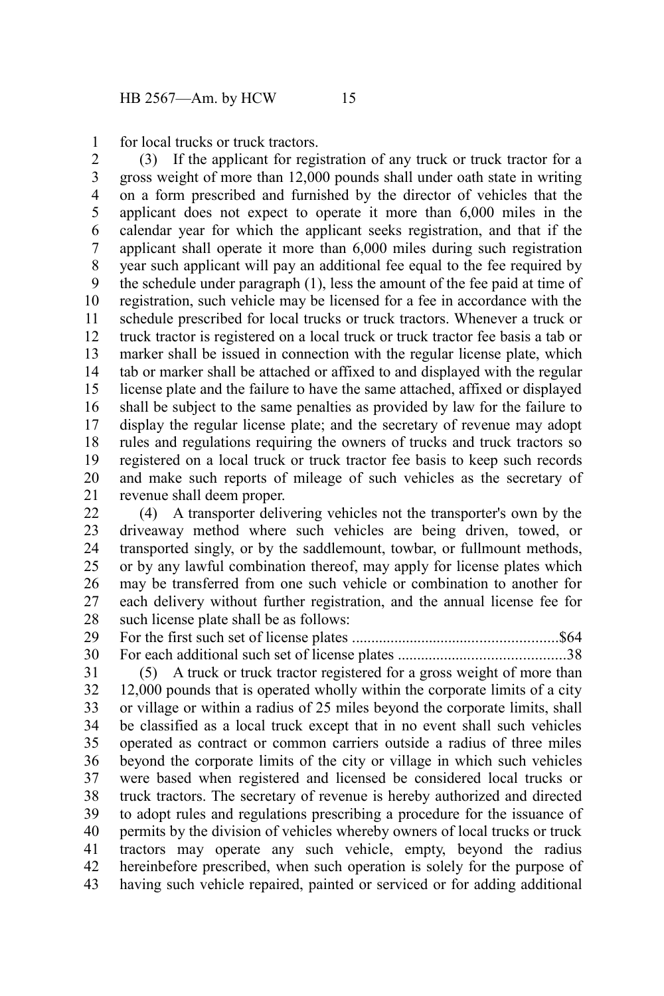for local trucks or truck tractors. 1

(3) If the applicant for registration of any truck or truck tractor for a gross weight of more than 12,000 pounds shall under oath state in writing on a form prescribed and furnished by the director of vehicles that the applicant does not expect to operate it more than 6,000 miles in the calendar year for which the applicant seeks registration, and that if the applicant shall operate it more than 6,000 miles during such registration year such applicant will pay an additional fee equal to the fee required by the schedule under paragraph (1), less the amount of the fee paid at time of registration, such vehicle may be licensed for a fee in accordance with the schedule prescribed for local trucks or truck tractors. Whenever a truck or truck tractor is registered on a local truck or truck tractor fee basis a tab or marker shall be issued in connection with the regular license plate, which tab or marker shall be attached or affixed to and displayed with the regular license plate and the failure to have the same attached, affixed or displayed shall be subject to the same penalties as provided by law for the failure to display the regular license plate; and the secretary of revenue may adopt rules and regulations requiring the owners of trucks and truck tractors so registered on a local truck or truck tractor fee basis to keep such records and make such reports of mileage of such vehicles as the secretary of revenue shall deem proper. 2 3 4 5 6 7 8 9 10 11 12 13 14 15 16 17 18 19 20 21

(4) A transporter delivering vehicles not the transporter's own by the driveaway method where such vehicles are being driven, towed, or transported singly, or by the saddlemount, towbar, or fullmount methods, or by any lawful combination thereof, may apply for license plates which may be transferred from one such vehicle or combination to another for each delivery without further registration, and the annual license fee for such license plate shall be as follows: 22 23 24 25 26 27 28

For the first such set of license plates .....................................................\$64 For each additional such set of license plates ...........................................38 29 30

(5) A truck or truck tractor registered for a gross weight of more than 12,000 pounds that is operated wholly within the corporate limits of a city or village or within a radius of 25 miles beyond the corporate limits, shall be classified as a local truck except that in no event shall such vehicles operated as contract or common carriers outside a radius of three miles beyond the corporate limits of the city or village in which such vehicles were based when registered and licensed be considered local trucks or truck tractors. The secretary of revenue is hereby authorized and directed to adopt rules and regulations prescribing a procedure for the issuance of permits by the division of vehicles whereby owners of local trucks or truck tractors may operate any such vehicle, empty, beyond the radius hereinbefore prescribed, when such operation is solely for the purpose of having such vehicle repaired, painted or serviced or for adding additional 31 32 33 34 35 36 37 38 39 40 41 42 43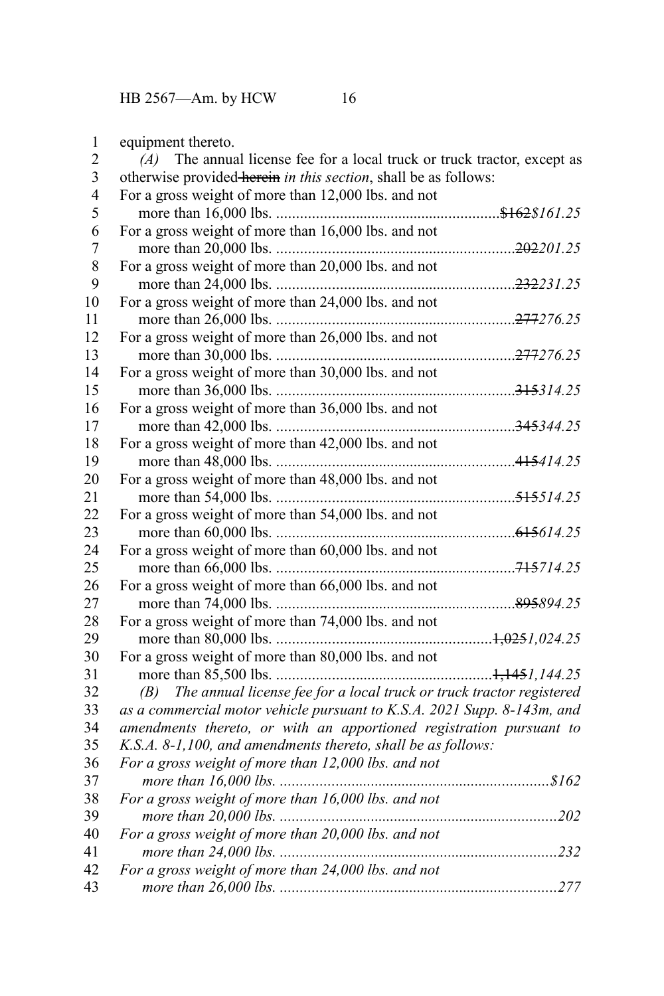| 1           | equipment thereto.                                                         |  |
|-------------|----------------------------------------------------------------------------|--|
| 2           | $(A)$ The annual license fee for a local truck or truck tractor, except as |  |
| 3           | otherwise provided herein in this section, shall be as follows:            |  |
| 4           | For a gross weight of more than 12,000 lbs. and not                        |  |
| 5           |                                                                            |  |
| 6           | For a gross weight of more than 16,000 lbs. and not                        |  |
| 7           |                                                                            |  |
| $\,$ 8 $\,$ | For a gross weight of more than 20,000 lbs. and not                        |  |
| 9           |                                                                            |  |
| 10          | For a gross weight of more than 24,000 lbs. and not                        |  |
| 11          |                                                                            |  |
| 12          | For a gross weight of more than 26,000 lbs. and not                        |  |
| 13          |                                                                            |  |
| 14          | For a gross weight of more than 30,000 lbs. and not                        |  |
| 15          |                                                                            |  |
| 16          | For a gross weight of more than 36,000 lbs. and not                        |  |
| 17          |                                                                            |  |
| 18          | For a gross weight of more than 42,000 lbs. and not                        |  |
| 19          |                                                                            |  |
| 20          | For a gross weight of more than 48,000 lbs. and not                        |  |
| 21          |                                                                            |  |
| 22          | For a gross weight of more than 54,000 lbs. and not                        |  |
| 23          |                                                                            |  |
| 24          | For a gross weight of more than 60,000 lbs. and not                        |  |
| 25          |                                                                            |  |
| 26          | For a gross weight of more than 66,000 lbs. and not                        |  |
| 27          |                                                                            |  |
| 28          | For a gross weight of more than 74,000 lbs. and not                        |  |
| 29          |                                                                            |  |
| 30          | For a gross weight of more than 80,000 lbs. and not                        |  |
| 31          |                                                                            |  |
| 32          | (B) The annual license fee for a local truck or truck tractor registered   |  |
| 33          | as a commercial motor vehicle pursuant to K.S.A. 2021 Supp. 8-143m, and    |  |
| 34          | amendments thereto, or with an apportioned registration pursuant to        |  |
| 35          | K.S.A. 8-1,100, and amendments thereto, shall be as follows:               |  |
| 36          | For a gross weight of more than 12,000 lbs. and not                        |  |
| 37          |                                                                            |  |
| 38          | For a gross weight of more than 16,000 lbs. and not                        |  |
| 39          |                                                                            |  |
| 40          | For a gross weight of more than 20,000 lbs. and not                        |  |
| 41          |                                                                            |  |
| 42          | For a gross weight of more than 24,000 lbs. and not                        |  |
| 43          |                                                                            |  |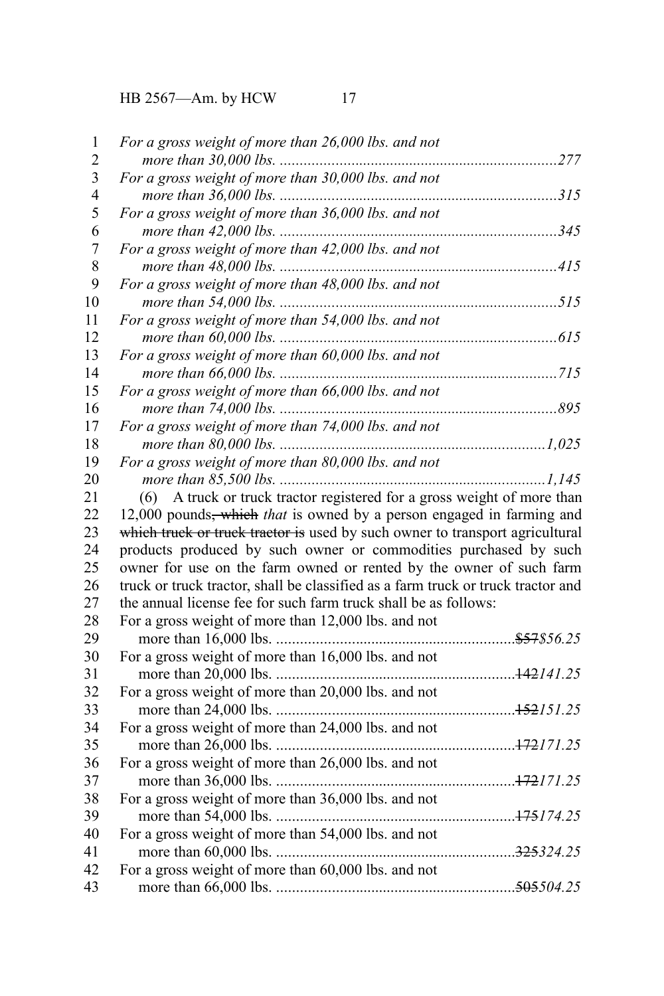HB 2567—Am. by HCW 17

| $\mathbf{1}$            | For a gross weight of more than 26,000 lbs. and not                               |
|-------------------------|-----------------------------------------------------------------------------------|
| $\overline{c}$          |                                                                                   |
| $\overline{\mathbf{3}}$ | For a gross weight of more than 30,000 lbs. and not                               |
| $\overline{4}$          |                                                                                   |
| 5                       | For a gross weight of more than 36,000 lbs. and not                               |
| 6                       |                                                                                   |
| $\overline{7}$          | For a gross weight of more than 42,000 lbs. and not                               |
| $\,$ 8 $\,$             |                                                                                   |
| 9                       | For a gross weight of more than 48,000 lbs. and not                               |
| 10                      |                                                                                   |
| 11                      | For a gross weight of more than 54,000 lbs. and not                               |
| 12                      |                                                                                   |
| 13                      | For a gross weight of more than 60,000 lbs. and not                               |
| 14                      |                                                                                   |
| 15                      | For a gross weight of more than 66,000 lbs. and not                               |
| 16                      |                                                                                   |
| 17                      | For a gross weight of more than 74,000 lbs. and not                               |
| 18                      |                                                                                   |
| 19                      | For a gross weight of more than 80,000 lbs. and not                               |
| 20                      |                                                                                   |
| 21                      | (6) A truck or truck tractor registered for a gross weight of more than           |
| 22                      | 12,000 pounds <del>, which</del> that is owned by a person engaged in farming and |
| 23                      | which truck or truck tractor is used by such owner to transport agricultural      |
| 24                      | products produced by such owner or commodities purchased by such                  |
| 25                      | owner for use on the farm owned or rented by the owner of such farm               |
| 26                      | truck or truck tractor, shall be classified as a farm truck or truck tractor and  |
| 27                      | the annual license fee for such farm truck shall be as follows:                   |
| 28                      | For a gross weight of more than 12,000 lbs. and not                               |
| 29                      |                                                                                   |
| 30                      | For a gross weight of more than 16,000 lbs. and not                               |
| 31                      |                                                                                   |
| 32                      | For a gross weight of more than 20,000 lbs. and not                               |
| 33                      |                                                                                   |
| 34                      | For a gross weight of more than 24,000 lbs. and not                               |
| 35                      |                                                                                   |
| 36                      | For a gross weight of more than 26,000 lbs. and not                               |
| 37                      |                                                                                   |
| 38                      | For a gross weight of more than 36,000 lbs. and not                               |
| 39                      |                                                                                   |
| 40                      | For a gross weight of more than 54,000 lbs. and not                               |
| 41                      |                                                                                   |
| 42                      | For a gross weight of more than 60,000 lbs. and not                               |
| 43                      |                                                                                   |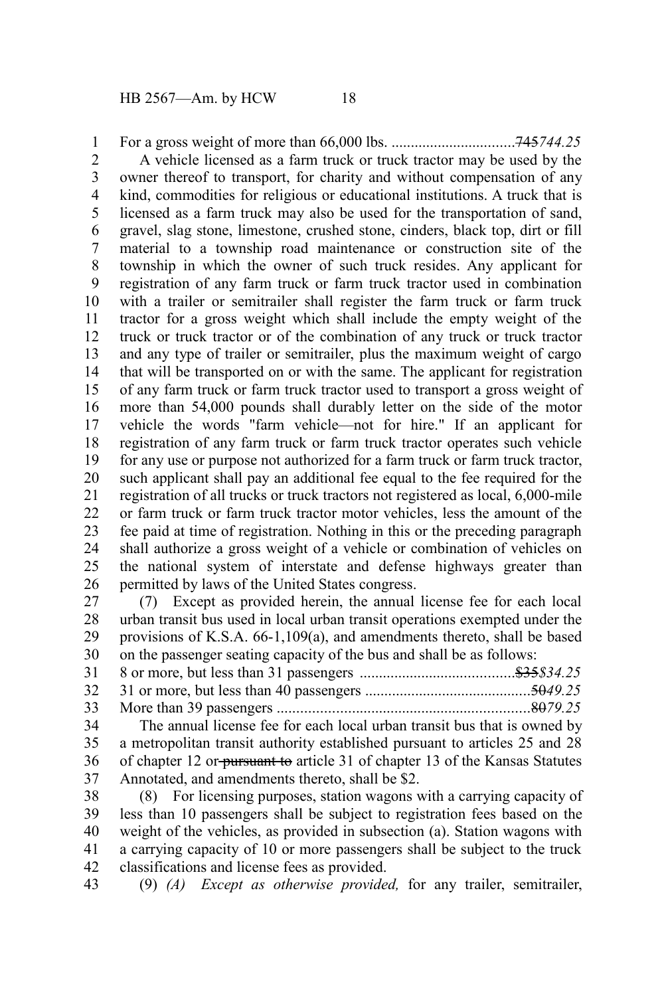For a gross weight of more than 66,000 lbs. ................................745*744.25* A vehicle licensed as a farm truck or truck tractor may be used by the owner thereof to transport, for charity and without compensation of any kind, commodities for religious or educational institutions. A truck that is licensed as a farm truck may also be used for the transportation of sand, gravel, slag stone, limestone, crushed stone, cinders, black top, dirt or fill material to a township road maintenance or construction site of the township in which the owner of such truck resides. Any applicant for registration of any farm truck or farm truck tractor used in combination with a trailer or semitrailer shall register the farm truck or farm truck tractor for a gross weight which shall include the empty weight of the truck or truck tractor or of the combination of any truck or truck tractor and any type of trailer or semitrailer, plus the maximum weight of cargo that will be transported on or with the same. The applicant for registration of any farm truck or farm truck tractor used to transport a gross weight of more than 54,000 pounds shall durably letter on the side of the motor vehicle the words "farm vehicle—not for hire." If an applicant for registration of any farm truck or farm truck tractor operates such vehicle for any use or purpose not authorized for a farm truck or farm truck tractor, such applicant shall pay an additional fee equal to the fee required for the registration of all trucks or truck tractors not registered as local, 6,000-mile or farm truck or farm truck tractor motor vehicles, less the amount of the fee paid at time of registration. Nothing in this or the preceding paragraph shall authorize a gross weight of a vehicle or combination of vehicles on the national system of interstate and defense highways greater than permitted by laws of the United States congress. 1 2 3 4 5 6 7 8 9 10 11 12 13 14 15 16 17 18 19 20 21 22 23 24 25 26

(7) Except as provided herein, the annual license fee for each local urban transit bus used in local urban transit operations exempted under the provisions of K.S.A. 66-1,109(a), and amendments thereto, shall be based on the passenger seating capacity of the bus and shall be as follows: 27 28 29 30

| 33 |                                                                          |  |
|----|--------------------------------------------------------------------------|--|
| 34 | The annual license fee for each local urban transit bus that is owned by |  |

a metropolitan transit authority established pursuant to articles 25 and 28 of chapter 12 or pursuant to article 31 of chapter 13 of the Kansas Statutes Annotated, and amendments thereto, shall be \$2. 35 36 37

(8) For licensing purposes, station wagons with a carrying capacity of less than 10 passengers shall be subject to registration fees based on the weight of the vehicles, as provided in subsection (a). Station wagons with a carrying capacity of 10 or more passengers shall be subject to the truck classifications and license fees as provided. 38 39 40 41 42

(9) *(A) Except as otherwise provided,* for any trailer, semitrailer, 43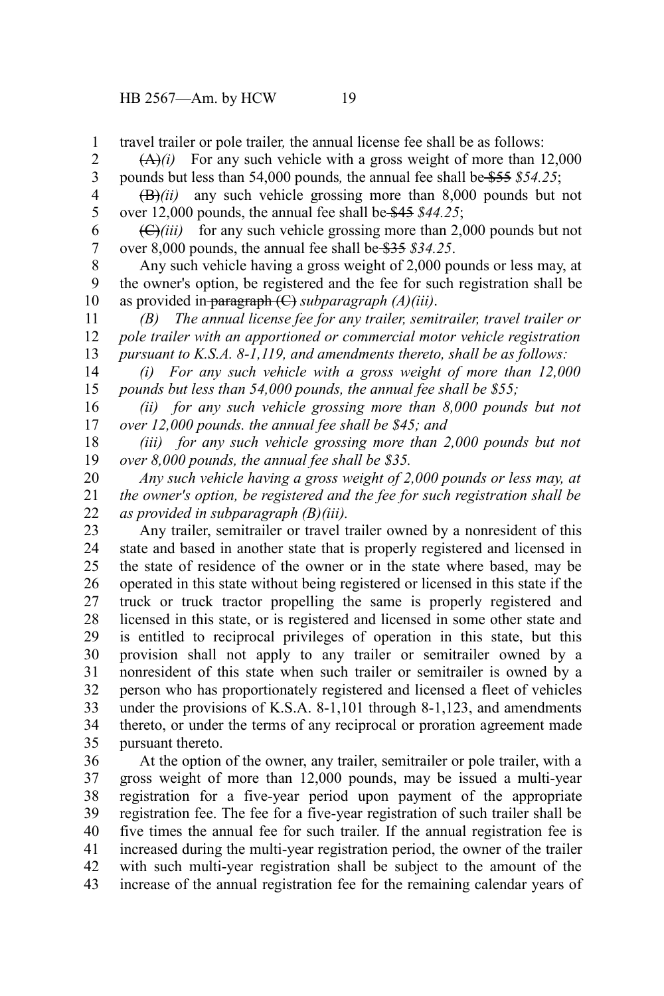HB 2567—Am. by HCW 19

travel trailer or pole trailer*,* the annual license fee shall be as follows: 1

 $(A)(i)$  For any such vehicle with a gross weight of more than 12,000 pounds but less than 54,000 pounds*,* the annual fee shall be \$55 *\$54.25*; 2 3

(B)*(ii)* any such vehicle grossing more than 8,000 pounds but not over 12,000 pounds, the annual fee shall be \$45 *\$44.25*; 4

(C)*(iii)* for any such vehicle grossing more than 2,000 pounds but not over 8,000 pounds, the annual fee shall be \$35 *\$34.25*. 6 7

Any such vehicle having a gross weight of 2,000 pounds or less may, at the owner's option, be registered and the fee for such registration shall be as provided in paragraph (C) *subparagraph (A)(iii)*. 8 9 10

*(B) The annual license fee for any trailer, semitrailer, travel trailer or pole trailer with an apportioned or commercial motor vehicle registration pursuant to K.S.A. 8-1,119, and amendments thereto, shall be as follows:* 11 12 13

*(i) For any such vehicle with a gross weight of more than 12,000 pounds but less than 54,000 pounds, the annual fee shall be \$55;* 14 15

*(ii) for any such vehicle grossing more than 8,000 pounds but not over 12,000 pounds. the annual fee shall be \$45; and* 16 17

*(iii) for any such vehicle grossing more than 2,000 pounds but not over 8,000 pounds, the annual fee shall be \$35.* 18 19

*Any such vehicle having a gross weight of 2,000 pounds or less may, at the owner's option, be registered and the fee for such registration shall be as provided in subparagraph (B)(iii).* 20 21 22

Any trailer, semitrailer or travel trailer owned by a nonresident of this state and based in another state that is properly registered and licensed in the state of residence of the owner or in the state where based, may be operated in this state without being registered or licensed in this state if the truck or truck tractor propelling the same is properly registered and licensed in this state, or is registered and licensed in some other state and is entitled to reciprocal privileges of operation in this state, but this provision shall not apply to any trailer or semitrailer owned by a nonresident of this state when such trailer or semitrailer is owned by a person who has proportionately registered and licensed a fleet of vehicles under the provisions of K.S.A. 8-1,101 through 8-1,123, and amendments thereto, or under the terms of any reciprocal or proration agreement made pursuant thereto. 23 24 25 26 27 28 29 30 31 32 33 34 35

At the option of the owner, any trailer, semitrailer or pole trailer, with a gross weight of more than 12,000 pounds, may be issued a multi-year registration for a five-year period upon payment of the appropriate registration fee. The fee for a five-year registration of such trailer shall be five times the annual fee for such trailer. If the annual registration fee is increased during the multi-year registration period, the owner of the trailer with such multi-year registration shall be subject to the amount of the increase of the annual registration fee for the remaining calendar years of 36 37 38 39 40 41 42 43

5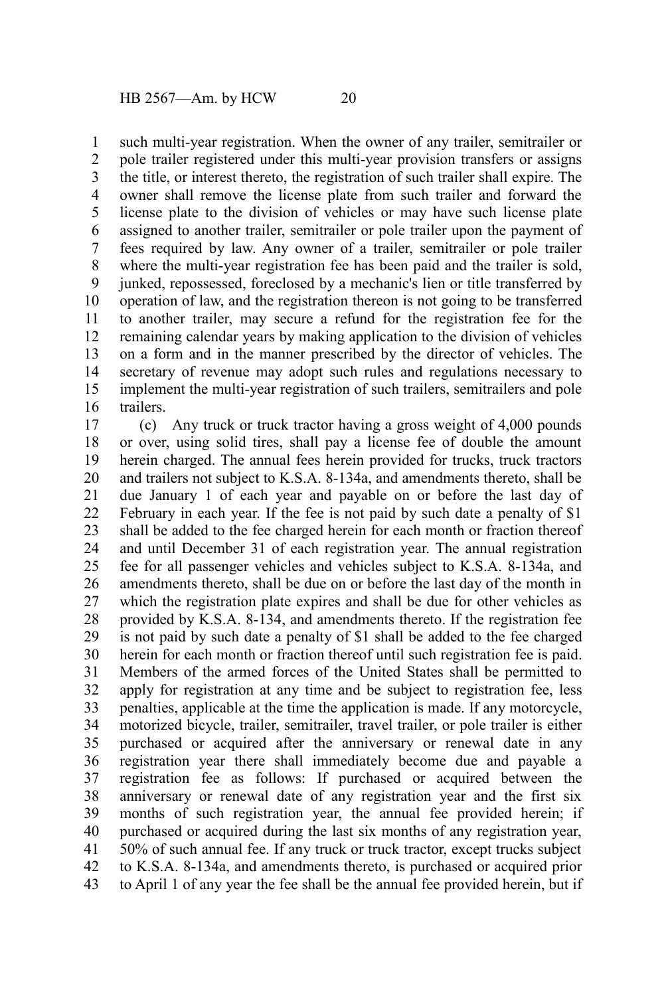such multi-year registration. When the owner of any trailer, semitrailer or pole trailer registered under this multi-year provision transfers or assigns the title, or interest thereto, the registration of such trailer shall expire. The owner shall remove the license plate from such trailer and forward the license plate to the division of vehicles or may have such license plate assigned to another trailer, semitrailer or pole trailer upon the payment of fees required by law. Any owner of a trailer, semitrailer or pole trailer where the multi-year registration fee has been paid and the trailer is sold, junked, repossessed, foreclosed by a mechanic's lien or title transferred by operation of law, and the registration thereon is not going to be transferred to another trailer, may secure a refund for the registration fee for the remaining calendar years by making application to the division of vehicles on a form and in the manner prescribed by the director of vehicles. The secretary of revenue may adopt such rules and regulations necessary to implement the multi-year registration of such trailers, semitrailers and pole trailers. 1 2 3 4 5 6 7 8 9 10 11 12 13 14 15 16

(c) Any truck or truck tractor having a gross weight of 4,000 pounds or over, using solid tires, shall pay a license fee of double the amount herein charged. The annual fees herein provided for trucks, truck tractors and trailers not subject to K.S.A. 8-134a, and amendments thereto, shall be due January 1 of each year and payable on or before the last day of February in each year. If the fee is not paid by such date a penalty of \$1 shall be added to the fee charged herein for each month or fraction thereof and until December 31 of each registration year. The annual registration fee for all passenger vehicles and vehicles subject to K.S.A. 8-134a, and amendments thereto, shall be due on or before the last day of the month in which the registration plate expires and shall be due for other vehicles as provided by K.S.A. 8-134, and amendments thereto. If the registration fee is not paid by such date a penalty of \$1 shall be added to the fee charged herein for each month or fraction thereof until such registration fee is paid. Members of the armed forces of the United States shall be permitted to apply for registration at any time and be subject to registration fee, less penalties, applicable at the time the application is made. If any motorcycle, motorized bicycle, trailer, semitrailer, travel trailer, or pole trailer is either purchased or acquired after the anniversary or renewal date in any registration year there shall immediately become due and payable a registration fee as follows: If purchased or acquired between the anniversary or renewal date of any registration year and the first six months of such registration year, the annual fee provided herein; if purchased or acquired during the last six months of any registration year, 50% of such annual fee. If any truck or truck tractor, except trucks subject to K.S.A. 8-134a, and amendments thereto, is purchased or acquired prior to April 1 of any year the fee shall be the annual fee provided herein, but if 17 18 19 20 21 22 23 24 25 26 27 28 29 30 31 32 33 34 35 36 37 38 39 40 41 42 43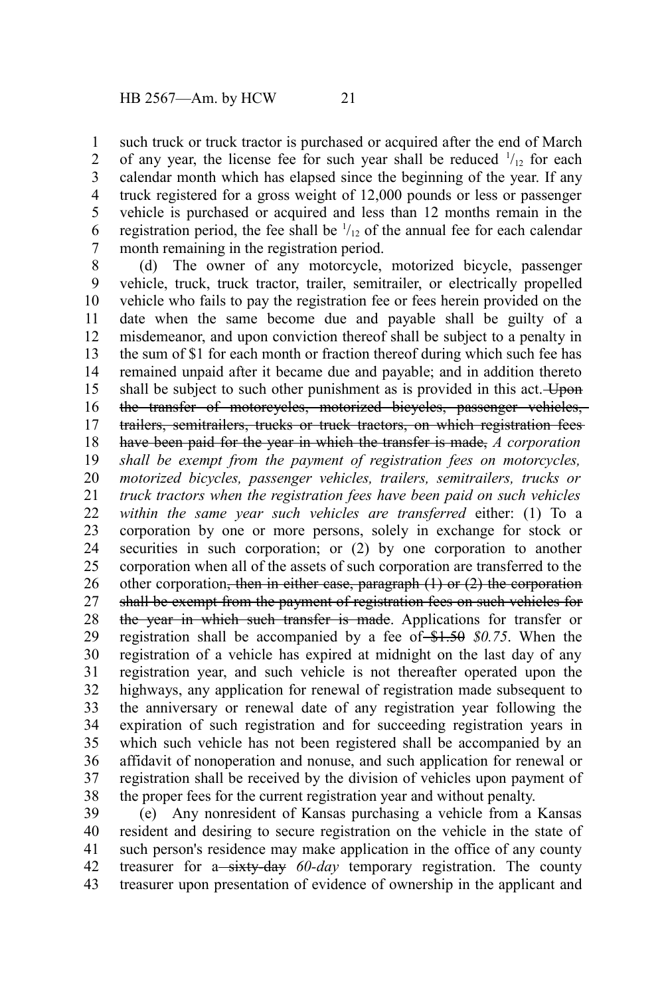such truck or truck tractor is purchased or acquired after the end of March of any year, the license fee for such year shall be reduced  $\frac{1}{12}$  for each calendar month which has elapsed since the beginning of the year. If any truck registered for a gross weight of 12,000 pounds or less or passenger vehicle is purchased or acquired and less than 12 months remain in the registration period, the fee shall be  $\frac{1}{12}$  of the annual fee for each calendar month remaining in the registration period. 1 2 3 4 5 6 7

(d) The owner of any motorcycle, motorized bicycle, passenger vehicle, truck, truck tractor, trailer, semitrailer, or electrically propelled vehicle who fails to pay the registration fee or fees herein provided on the date when the same become due and payable shall be guilty of a misdemeanor, and upon conviction thereof shall be subject to a penalty in the sum of \$1 for each month or fraction thereof during which such fee has remained unpaid after it became due and payable; and in addition thereto shall be subject to such other punishment as is provided in this act. Upon the transfer of motorcycles, motorized bicycles, passenger vehicles, trailers, semitrailers, trucks or truck tractors, on which registration fees have been paid for the year in which the transfer is made, *A corporation shall be exempt from the payment of registration fees on motorcycles, motorized bicycles, passenger vehicles, trailers, semitrailers, trucks or truck tractors when the registration fees have been paid on such vehicles within the same year such vehicles are transferred* either: (1) To a corporation by one or more persons, solely in exchange for stock or securities in such corporation; or (2) by one corporation to another corporation when all of the assets of such corporation are transferred to the other corporation, then in either case, paragraph  $(1)$  or  $(2)$  the corporation shall be exempt from the payment of registration fees on such vehicles for the year in which such transfer is made. Applications for transfer or registration shall be accompanied by a fee of  $$1.50$   $$0.75$ . When the registration of a vehicle has expired at midnight on the last day of any registration year, and such vehicle is not thereafter operated upon the highways, any application for renewal of registration made subsequent to the anniversary or renewal date of any registration year following the expiration of such registration and for succeeding registration years in which such vehicle has not been registered shall be accompanied by an affidavit of nonoperation and nonuse, and such application for renewal or registration shall be received by the division of vehicles upon payment of the proper fees for the current registration year and without penalty. 8 9 10 11 12 13 14 15 16 17 18 19 20 21 22 23 24 25 26 27 28 29 30 31 32 33 34 35 36 37 38

(e) Any nonresident of Kansas purchasing a vehicle from a Kansas resident and desiring to secure registration on the vehicle in the state of such person's residence may make application in the office of any county treasurer for a-sixty-day 60-day temporary registration. The county treasurer upon presentation of evidence of ownership in the applicant and 39 40 41 42 43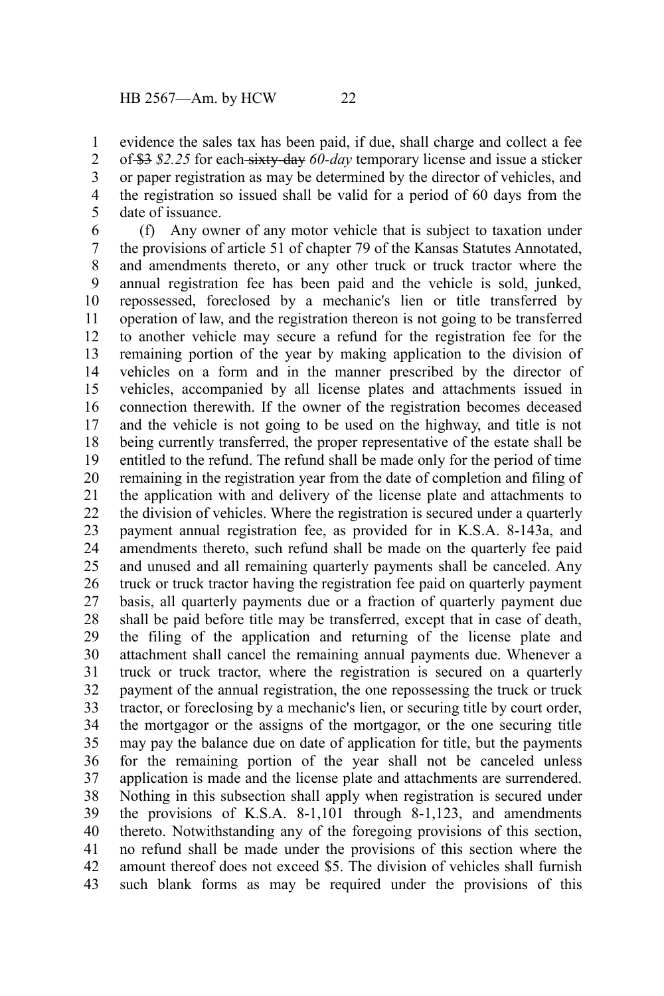evidence the sales tax has been paid, if due, shall charge and collect a fee of \$3 *\$2.25* for each sixty-day *60-day* temporary license and issue a sticker or paper registration as may be determined by the director of vehicles, and the registration so issued shall be valid for a period of 60 days from the date of issuance. 1 2 3 4 5

(f) Any owner of any motor vehicle that is subject to taxation under the provisions of article 51 of chapter 79 of the Kansas Statutes Annotated, and amendments thereto, or any other truck or truck tractor where the annual registration fee has been paid and the vehicle is sold, junked, repossessed, foreclosed by a mechanic's lien or title transferred by operation of law, and the registration thereon is not going to be transferred to another vehicle may secure a refund for the registration fee for the remaining portion of the year by making application to the division of vehicles on a form and in the manner prescribed by the director of vehicles, accompanied by all license plates and attachments issued in connection therewith. If the owner of the registration becomes deceased and the vehicle is not going to be used on the highway, and title is not being currently transferred, the proper representative of the estate shall be entitled to the refund. The refund shall be made only for the period of time remaining in the registration year from the date of completion and filing of the application with and delivery of the license plate and attachments to the division of vehicles. Where the registration is secured under a quarterly payment annual registration fee, as provided for in K.S.A. 8-143a, and amendments thereto, such refund shall be made on the quarterly fee paid and unused and all remaining quarterly payments shall be canceled. Any truck or truck tractor having the registration fee paid on quarterly payment basis, all quarterly payments due or a fraction of quarterly payment due shall be paid before title may be transferred, except that in case of death, the filing of the application and returning of the license plate and attachment shall cancel the remaining annual payments due. Whenever a truck or truck tractor, where the registration is secured on a quarterly payment of the annual registration, the one repossessing the truck or truck tractor, or foreclosing by a mechanic's lien, or securing title by court order, the mortgagor or the assigns of the mortgagor, or the one securing title may pay the balance due on date of application for title, but the payments for the remaining portion of the year shall not be canceled unless application is made and the license plate and attachments are surrendered. Nothing in this subsection shall apply when registration is secured under the provisions of K.S.A. 8-1,101 through 8-1,123, and amendments thereto. Notwithstanding any of the foregoing provisions of this section, no refund shall be made under the provisions of this section where the amount thereof does not exceed \$5. The division of vehicles shall furnish such blank forms as may be required under the provisions of this 6 7 8 9 10 11 12 13 14 15 16 17 18 19 20 21 22 23 24 25 26 27 28 29 30 31 32 33 34 35 36 37 38 39 40 41 42 43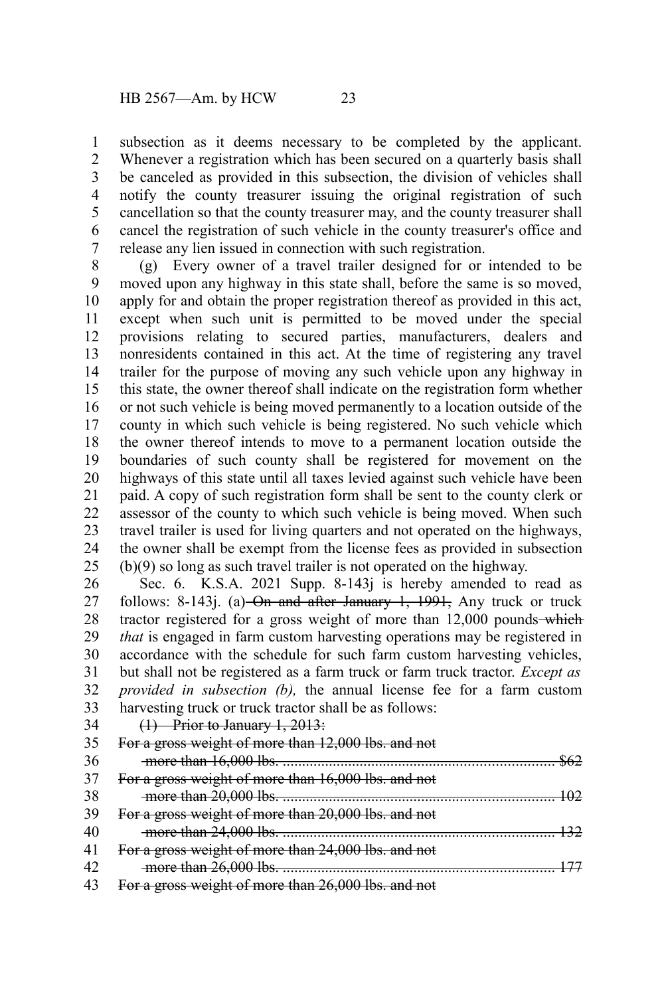subsection as it deems necessary to be completed by the applicant. Whenever a registration which has been secured on a quarterly basis shall be canceled as provided in this subsection, the division of vehicles shall notify the county treasurer issuing the original registration of such cancellation so that the county treasurer may, and the county treasurer shall cancel the registration of such vehicle in the county treasurer's office and release any lien issued in connection with such registration. 1 2 3 4 5 6 7

(g) Every owner of a travel trailer designed for or intended to be moved upon any highway in this state shall, before the same is so moved, apply for and obtain the proper registration thereof as provided in this act, except when such unit is permitted to be moved under the special provisions relating to secured parties, manufacturers, dealers and nonresidents contained in this act. At the time of registering any travel trailer for the purpose of moving any such vehicle upon any highway in this state, the owner thereof shall indicate on the registration form whether or not such vehicle is being moved permanently to a location outside of the county in which such vehicle is being registered. No such vehicle which the owner thereof intends to move to a permanent location outside the boundaries of such county shall be registered for movement on the highways of this state until all taxes levied against such vehicle have been paid. A copy of such registration form shall be sent to the county clerk or assessor of the county to which such vehicle is being moved. When such travel trailer is used for living quarters and not operated on the highways, the owner shall be exempt from the license fees as provided in subsection (b)(9) so long as such travel trailer is not operated on the highway. 8 9 10 11 12 13 14 15 16 17 18 19 20 21 22 23 24 25

Sec. 6. K.S.A. 2021 Supp. 8-143*j* is hereby amended to read as follows: 8-143j. (a) On and after January 1,  $1991$ , Any truck or truck tractor registered for a gross weight of more than 12,000 pounds—which *that* is engaged in farm custom harvesting operations may be registered in accordance with the schedule for such farm custom harvesting vehicles, but shall not be registered as a farm truck or farm truck tractor. *Except as provided in subsection (b),* the annual license fee for a farm custom harvesting truck or truck tractor shall be as follows: 26 27 28 29 30 31 32 33

(1) Prior to January 1, 2013: 34

|    | For a gross weight of more than 12,000 lbs. and not |
|----|-----------------------------------------------------|
| 36 |                                                     |
|    | For a gross weight of more than 16,000 lbs. and not |
| 38 |                                                     |
| 39 | For a gross weight of more than 20,000 lbs. and not |
| 40 |                                                     |
|    | For a gross weight of more than 24,000 lbs. and not |
|    |                                                     |
|    | For a gross weight of more than 26,000 lbs. and not |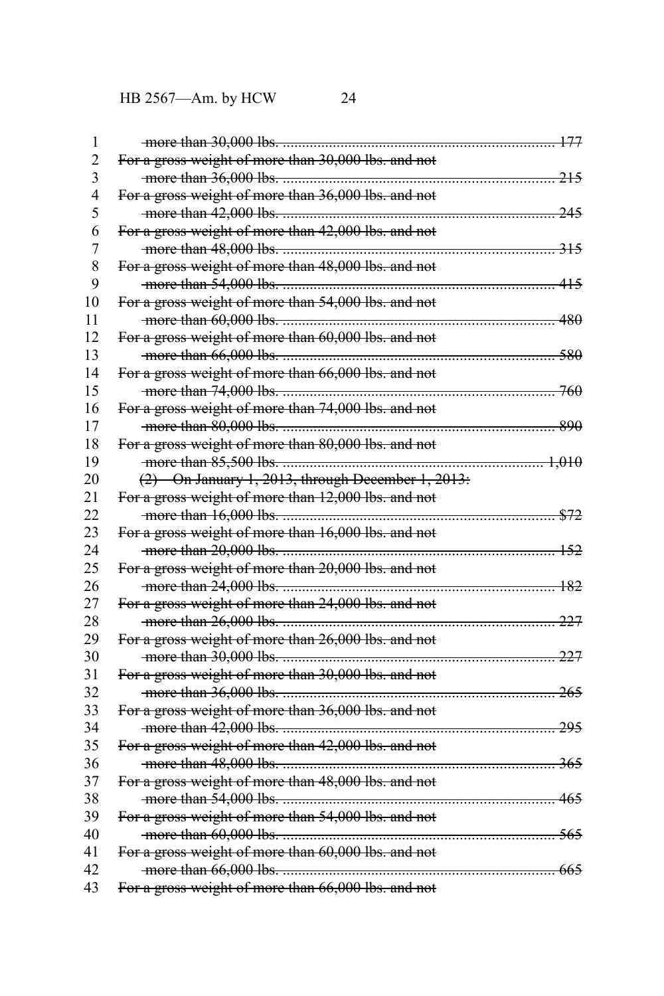| 1              |                                                                                                                                                                                                                                                                                               |  |
|----------------|-----------------------------------------------------------------------------------------------------------------------------------------------------------------------------------------------------------------------------------------------------------------------------------------------|--|
| $\overline{2}$ | For a gross weight of more than 30,000 lbs. and not                                                                                                                                                                                                                                           |  |
| $\overline{3}$ |                                                                                                                                                                                                                                                                                               |  |
| $\overline{4}$ | For a gross weight of more than 36,000 lbs. and not                                                                                                                                                                                                                                           |  |
| 5              |                                                                                                                                                                                                                                                                                               |  |
| 6              | For a gross weight of more than 42,000 lbs. and not                                                                                                                                                                                                                                           |  |
| $\overline{7}$ |                                                                                                                                                                                                                                                                                               |  |
| 8              | For a gross weight of more than 48,000 lbs. and not                                                                                                                                                                                                                                           |  |
| 9              |                                                                                                                                                                                                                                                                                               |  |
| 10             | For a gross weight of more than 54,000 lbs. and not                                                                                                                                                                                                                                           |  |
| 11             | $\frac{1}{2}$ and $\frac{1}{2}$ and $\frac{1}{2}$ and $\frac{1}{2}$ and $\frac{1}{2}$ and $\frac{1}{2}$ and $\frac{1}{2}$ and $\frac{1}{2}$ and $\frac{1}{2}$ and $\frac{1}{2}$ and $\frac{1}{2}$ and $\frac{1}{2}$ and $\frac{1}{2}$ and $\frac{1}{2}$ and $\frac{1}{2}$ and $\frac{1}{2}$ a |  |
| 12             | For a gross weight of more than 60,000 lbs. and not                                                                                                                                                                                                                                           |  |
| 13             | more than 66,000 lbs.                                                                                                                                                                                                                                                                         |  |
| 14             | For a gross weight of more than 66,000 lbs. and not                                                                                                                                                                                                                                           |  |
| 15             |                                                                                                                                                                                                                                                                                               |  |
| 16             | For a gross weight of more than 74,000 lbs. and not                                                                                                                                                                                                                                           |  |
| 17             |                                                                                                                                                                                                                                                                                               |  |
| 18             | For a gross weight of more than 80,000 lbs. and not                                                                                                                                                                                                                                           |  |
| 19             |                                                                                                                                                                                                                                                                                               |  |
| 20             | $(2)$ On January 1, 2013, through December 1, 2013:                                                                                                                                                                                                                                           |  |
| 21             | For a gross weight of more than 12,000 lbs. and not                                                                                                                                                                                                                                           |  |
| 22             |                                                                                                                                                                                                                                                                                               |  |
| 23             | For a gross weight of more than 16,000 lbs. and not                                                                                                                                                                                                                                           |  |
| 24             |                                                                                                                                                                                                                                                                                               |  |
| 25             | For a gross weight of more than 20,000 lbs. and not                                                                                                                                                                                                                                           |  |
| 26             |                                                                                                                                                                                                                                                                                               |  |
| 27             | For a gross weight of more than 24,000 lbs. and not                                                                                                                                                                                                                                           |  |
| 28             |                                                                                                                                                                                                                                                                                               |  |
| 29             | For a gross weight of more than 26,000 lbs. and not                                                                                                                                                                                                                                           |  |
| 30             |                                                                                                                                                                                                                                                                                               |  |
| 31             | For a gross weight of more than 30,000 lbs. and not                                                                                                                                                                                                                                           |  |
| 32             |                                                                                                                                                                                                                                                                                               |  |
| 33             | For a gross weight of more than 36,000 lbs. and not                                                                                                                                                                                                                                           |  |
| 34             |                                                                                                                                                                                                                                                                                               |  |
| 35             | For a gross weight of more than 42,000 lbs. and not                                                                                                                                                                                                                                           |  |
| 36             |                                                                                                                                                                                                                                                                                               |  |
| 37             | For a gross weight of more than 48,000 lbs. and not                                                                                                                                                                                                                                           |  |
| 38             |                                                                                                                                                                                                                                                                                               |  |
| 39             | For a gross weight of more than 54,000 lbs. and not                                                                                                                                                                                                                                           |  |
| 40             |                                                                                                                                                                                                                                                                                               |  |
| 41             | For a gross weight of more than 60,000 lbs. and not                                                                                                                                                                                                                                           |  |
| 42             |                                                                                                                                                                                                                                                                                               |  |
| 43             | For a gross weight of more than 66,000 lbs. and not                                                                                                                                                                                                                                           |  |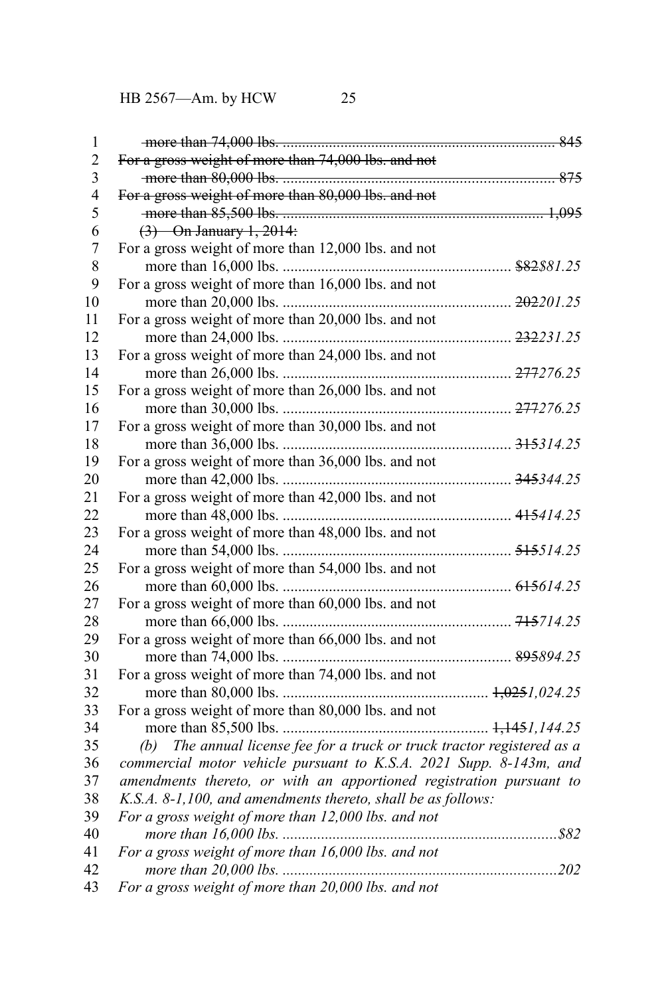| 1                       |                                                                         |  |
|-------------------------|-------------------------------------------------------------------------|--|
| $\overline{2}$          | For a gross weight of more than 74,000 lbs. and not                     |  |
| $\overline{\mathbf{3}}$ |                                                                         |  |
| $\overline{4}$          | For a gross weight of more than 80,000 lbs. and not                     |  |
| 5                       |                                                                         |  |
| 6                       | $(3)$ On January 1, 2014:                                               |  |
| $\overline{7}$          | For a gross weight of more than 12,000 lbs. and not                     |  |
| 8                       |                                                                         |  |
| 9                       | For a gross weight of more than 16,000 lbs. and not                     |  |
| 10                      |                                                                         |  |
| 11                      | For a gross weight of more than 20,000 lbs. and not                     |  |
| 12                      |                                                                         |  |
| 13                      | For a gross weight of more than 24,000 lbs. and not                     |  |
| 14                      |                                                                         |  |
| 15                      | For a gross weight of more than 26,000 lbs. and not                     |  |
| 16                      |                                                                         |  |
| 17                      | For a gross weight of more than 30,000 lbs. and not                     |  |
| 18                      |                                                                         |  |
| 19                      | For a gross weight of more than 36,000 lbs. and not                     |  |
| 20                      |                                                                         |  |
| 21                      | For a gross weight of more than 42,000 lbs. and not                     |  |
| 22                      |                                                                         |  |
| 23                      | For a gross weight of more than 48,000 lbs. and not                     |  |
| 24                      |                                                                         |  |
| 25                      | For a gross weight of more than 54,000 lbs. and not                     |  |
| 26                      |                                                                         |  |
| 27                      | For a gross weight of more than 60,000 lbs. and not                     |  |
| 28                      |                                                                         |  |
| 29                      | For a gross weight of more than 66,000 lbs. and not                     |  |
| 30                      |                                                                         |  |
| 31                      | For a gross weight of more than 74,000 lbs. and not                     |  |
| 32                      |                                                                         |  |
| 33                      | For a gross weight of more than 80,000 lbs. and not                     |  |
| 34                      |                                                                         |  |
| 35                      | (b) The annual license fee for a truck or truck tractor registered as a |  |
| 36                      | commercial motor vehicle pursuant to K.S.A. 2021 Supp. 8-143m, and      |  |
| 37                      | amendments thereto, or with an apportioned registration pursuant to     |  |
| 38                      | K.S.A. 8-1,100, and amendments thereto, shall be as follows:            |  |
| 39                      | For a gross weight of more than 12,000 lbs. and not                     |  |
| 40                      |                                                                         |  |
| 41                      | For a gross weight of more than 16,000 lbs. and not                     |  |
| 42                      |                                                                         |  |
| 43                      | For a gross weight of more than 20,000 lbs. and not                     |  |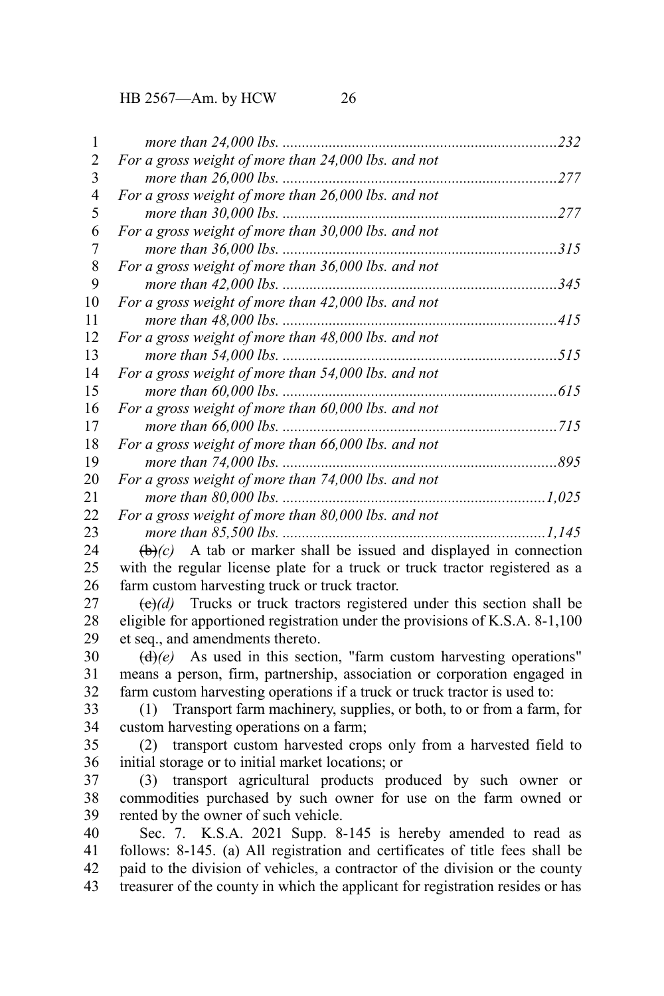| 1              |                                                                                        |
|----------------|----------------------------------------------------------------------------------------|
| $\overline{c}$ | For a gross weight of more than 24,000 lbs. and not                                    |
| 3              |                                                                                        |
| 4              | For a gross weight of more than 26,000 lbs. and not                                    |
| 5              |                                                                                        |
| 6              | For a gross weight of more than 30,000 lbs. and not                                    |
| 7              |                                                                                        |
| $8\,$          | For a gross weight of more than 36,000 lbs. and not                                    |
| 9              |                                                                                        |
| 10             | For a gross weight of more than 42,000 lbs. and not                                    |
| 11             |                                                                                        |
| 12             | For a gross weight of more than 48,000 lbs. and not                                    |
| 13             |                                                                                        |
| 14             | For a gross weight of more than 54,000 lbs. and not                                    |
| 15             |                                                                                        |
| 16             | For a gross weight of more than 60,000 lbs. and not                                    |
| 17             |                                                                                        |
| 18             | For a gross weight of more than 66,000 lbs. and not                                    |
| 19             |                                                                                        |
| 20             | For a gross weight of more than 74,000 lbs. and not                                    |
| 21             |                                                                                        |
| 22             | For a gross weight of more than 80,000 lbs. and not                                    |
| 23             |                                                                                        |
| 24             | $\left(\frac{b}{c}\right)$ A tab or marker shall be issued and displayed in connection |
| 25             | with the regular license plate for a truck or truck tractor registered as a            |
| 26             | farm custom harvesting truck or truck tractor.                                         |
| 27             | Trucks or truck tractors registered under this section shall be<br>$\Theta(d)$         |
| 28             | eligible for apportioned registration under the provisions of K.S.A. 8-1,100           |
| 29             | et seq., and amendments thereto.                                                       |
| 30             | $(d)(e)$ As used in this section, "farm custom harvesting operations"                  |
| 31             | means a person, firm, partnership, association or corporation engaged in               |
| 32             | farm custom harvesting operations if a truck or truck tractor is used to:              |
| 33             | Transport farm machinery, supplies, or both, to or from a farm, for<br>(1)             |
| 34             | custom harvesting operations on a farm;                                                |
| 35             | transport custom harvested crops only from a harvested field to<br>(2)                 |
| 36             | initial storage or to initial market locations; or                                     |
| 37             | transport agricultural products produced by such owner or<br>(3)                       |
| 38             | commodities purchased by such owner for use on the farm owned or                       |
| 39             | rented by the owner of such vehicle.                                                   |
| 40             | Sec. 7. K.S.A. 2021 Supp. 8-145 is hereby amended to read as                           |
| 41             | follows: 8-145. (a) All registration and certificates of title fees shall be           |
| 42             | paid to the division of vehicles, a contractor of the division or the county           |
| 43             | treasurer of the county in which the applicant for registration resides or has         |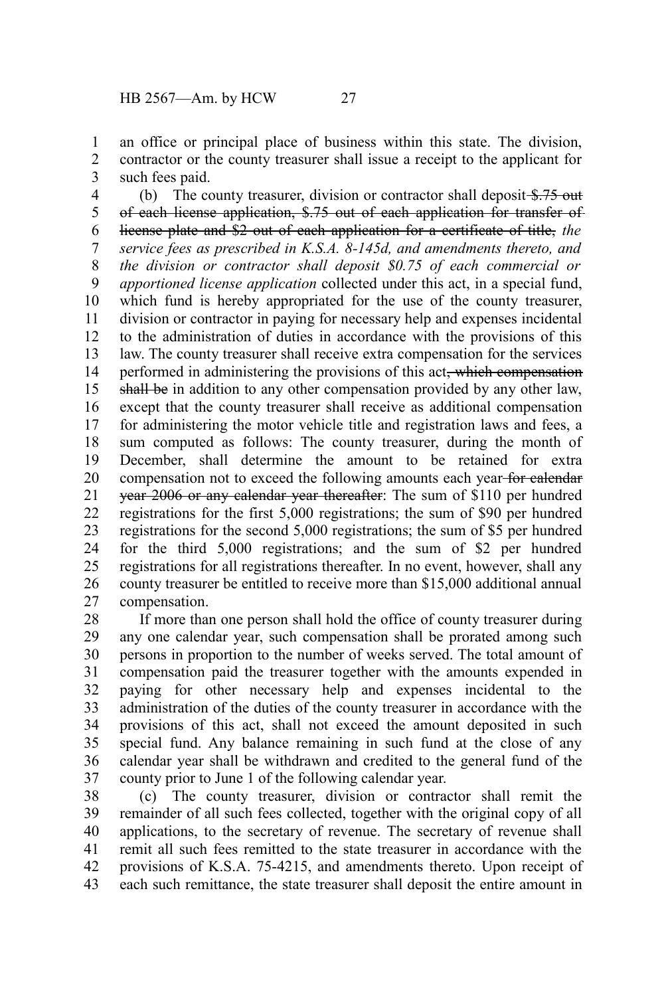an office or principal place of business within this state. The division, contractor or the county treasurer shall issue a receipt to the applicant for such fees paid. 1 2 3

(b) The county treasurer, division or contractor shall deposit  $\frac{15.75}{10.5}$ of each license application, \$.75 out of each application for transfer of license plate and \$2 out of each application for a certificate of title, *the service fees as prescribed in K.S.A. 8-145d, and amendments thereto, and the division or contractor shall deposit \$0.75 of each commercial or apportioned license application* collected under this act, in a special fund, which fund is hereby appropriated for the use of the county treasurer, division or contractor in paying for necessary help and expenses incidental to the administration of duties in accordance with the provisions of this law. The county treasurer shall receive extra compensation for the services performed in administering the provisions of this act<del>, which compensation</del> shall be in addition to any other compensation provided by any other law, except that the county treasurer shall receive as additional compensation for administering the motor vehicle title and registration laws and fees, a sum computed as follows: The county treasurer, during the month of December, shall determine the amount to be retained for extra compensation not to exceed the following amounts each year for calendar year 2006 or any calendar year thereafter: The sum of \$110 per hundred registrations for the first 5,000 registrations; the sum of \$90 per hundred registrations for the second 5,000 registrations; the sum of \$5 per hundred for the third 5,000 registrations; and the sum of \$2 per hundred registrations for all registrations thereafter. In no event, however, shall any county treasurer be entitled to receive more than \$15,000 additional annual compensation. 4 5 6 7 8 9 10 11 12 13 14 15 16 17 18 19 20 21 22 23 24 25 26 27

If more than one person shall hold the office of county treasurer during any one calendar year, such compensation shall be prorated among such persons in proportion to the number of weeks served. The total amount of compensation paid the treasurer together with the amounts expended in paying for other necessary help and expenses incidental to the administration of the duties of the county treasurer in accordance with the provisions of this act, shall not exceed the amount deposited in such special fund. Any balance remaining in such fund at the close of any calendar year shall be withdrawn and credited to the general fund of the county prior to June 1 of the following calendar year. 28 29 30 31 32 33 34 35 36 37

(c) The county treasurer, division or contractor shall remit the remainder of all such fees collected, together with the original copy of all applications, to the secretary of revenue. The secretary of revenue shall remit all such fees remitted to the state treasurer in accordance with the provisions of K.S.A. 75-4215, and amendments thereto. Upon receipt of each such remittance, the state treasurer shall deposit the entire amount in 38 39 40 41 42 43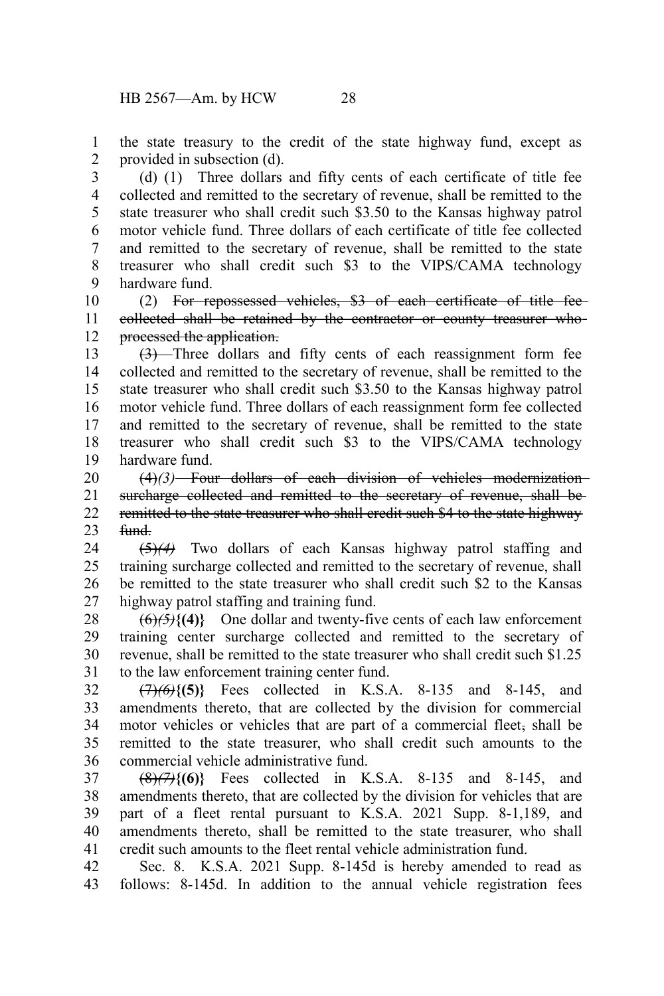the state treasury to the credit of the state highway fund, except as provided in subsection (d). 1 2

(d) (1) Three dollars and fifty cents of each certificate of title fee collected and remitted to the secretary of revenue, shall be remitted to the state treasurer who shall credit such \$3.50 to the Kansas highway patrol motor vehicle fund. Three dollars of each certificate of title fee collected and remitted to the secretary of revenue, shall be remitted to the state treasurer who shall credit such \$3 to the VIPS/CAMA technology hardware fund. 3 4 5 6 7 8 9

(2) For repossessed vehicles, \$3 of each certificate of title fee collected shall be retained by the contractor or county treasurer who processed the application. 10 11 12

(3) Three dollars and fifty cents of each reassignment form fee collected and remitted to the secretary of revenue, shall be remitted to the state treasurer who shall credit such \$3.50 to the Kansas highway patrol motor vehicle fund. Three dollars of each reassignment form fee collected and remitted to the secretary of revenue, shall be remitted to the state treasurer who shall credit such \$3 to the VIPS/CAMA technology hardware fund. 13 14 15 16 17 18 19

(4)*(3)* Four dollars of each division of vehicles modernization surcharge collected and remitted to the secretary of revenue, shall beremitted to the state treasurer who shall credit such \$4 to the state highway fund. 20 21 22 23

(5)*(4)* Two dollars of each Kansas highway patrol staffing and training surcharge collected and remitted to the secretary of revenue, shall be remitted to the state treasurer who shall credit such \$2 to the Kansas highway patrol staffing and training fund. 24 25 26 27

(6)*(5)***{(4)}** One dollar and twenty-five cents of each law enforcement training center surcharge collected and remitted to the secretary of revenue, shall be remitted to the state treasurer who shall credit such \$1.25 to the law enforcement training center fund. 28 29 30 31

(7)*(6)***{(5)}** Fees collected in K.S.A. 8-135 and 8-145, and amendments thereto, that are collected by the division for commercial motor vehicles or vehicles that are part of a commercial fleet, shall be remitted to the state treasurer, who shall credit such amounts to the commercial vehicle administrative fund. 32 33 34 35 36

(8)*(7)***{(6)}** Fees collected in K.S.A. 8-135 and 8-145, and amendments thereto, that are collected by the division for vehicles that are part of a fleet rental pursuant to K.S.A. 2021 Supp. 8-1,189, and amendments thereto, shall be remitted to the state treasurer, who shall credit such amounts to the fleet rental vehicle administration fund. 37 38 39 40 41

Sec. 8. K.S.A. 2021 Supp. 8-145d is hereby amended to read as follows: 8-145d. In addition to the annual vehicle registration fees 42 43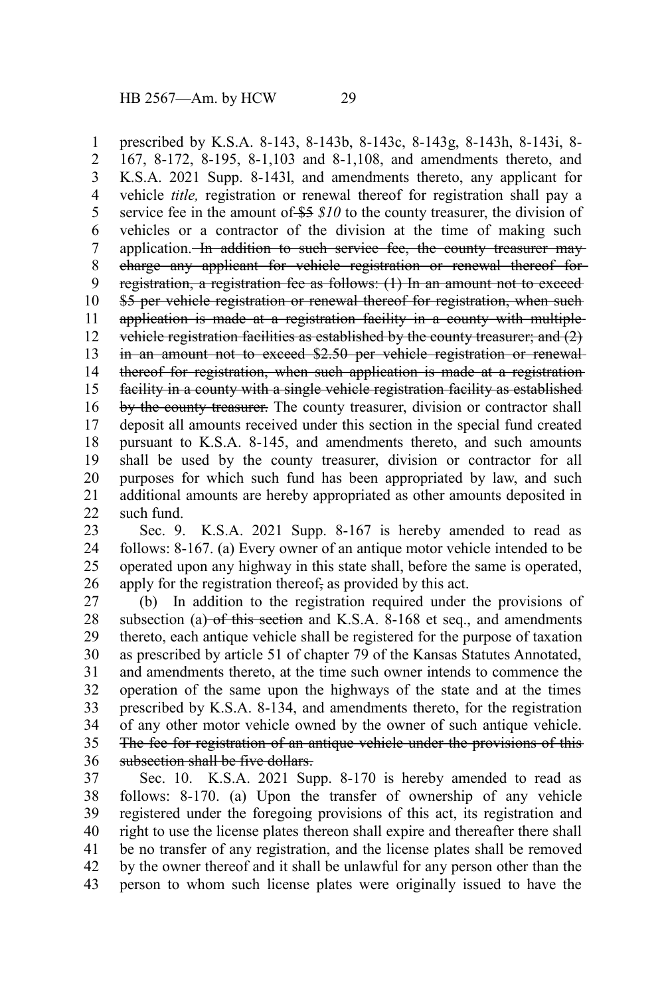prescribed by K.S.A. 8-143, 8-143b, 8-143c, 8-143g, 8-143h, 8-143i, 8- 167, 8-172, 8-195, 8-1,103 and 8-1,108, and amendments thereto, and K.S.A. 2021 Supp. 8-143l, and amendments thereto, any applicant for vehicle *title,* registration or renewal thereof for registration shall pay a service fee in the amount of  $$5 \text{ } $10$  to the county treasurer, the division of vehicles or a contractor of the division at the time of making such application. In addition to such service fee, the county treasurer maycharge any applicant for vehicle registration or renewal thereof for registration, a registration fee as follows: (1) In an amount not to exceed \$5 per vehicle registration or renewal thereof for registration, when such application is made at a registration facility in a county with multiple vehicle registration facilities as established by the county treasurer; and (2) in an amount not to exceed \$2.50 per vehicle registration or renewal thereof for registration, when such application is made at a registration facility in a county with a single vehicle registration facility as established by the county treasurer. The county treasurer, division or contractor shall deposit all amounts received under this section in the special fund created pursuant to K.S.A. 8-145, and amendments thereto, and such amounts shall be used by the county treasurer, division or contractor for all purposes for which such fund has been appropriated by law, and such additional amounts are hereby appropriated as other amounts deposited in such fund. 1 2 3 4 5 6 7 8 9 10 11 12 13 14 15 16 17 18 19 20 21 22

Sec. 9. K.S.A. 2021 Supp. 8-167 is hereby amended to read as follows: 8-167. (a) Every owner of an antique motor vehicle intended to be operated upon any highway in this state shall, before the same is operated, apply for the registration thereof, as provided by this act. 23 24 25 26

(b) In addition to the registration required under the provisions of subsection (a)  $-$ of this section and K.S.A. 8-168 et seq., and amendments thereto, each antique vehicle shall be registered for the purpose of taxation as prescribed by article 51 of chapter 79 of the Kansas Statutes Annotated, and amendments thereto, at the time such owner intends to commence the operation of the same upon the highways of the state and at the times prescribed by K.S.A. 8-134, and amendments thereto, for the registration of any other motor vehicle owned by the owner of such antique vehicle. The fee for registration of an antique vehicle under the provisions of this subsection shall be five dollars. 27 28 29 30 31 32 33 34 35 36

Sec. 10. K.S.A. 2021 Supp. 8-170 is hereby amended to read as follows: 8-170. (a) Upon the transfer of ownership of any vehicle registered under the foregoing provisions of this act, its registration and right to use the license plates thereon shall expire and thereafter there shall be no transfer of any registration, and the license plates shall be removed by the owner thereof and it shall be unlawful for any person other than the person to whom such license plates were originally issued to have the 37 38 39 40 41 42 43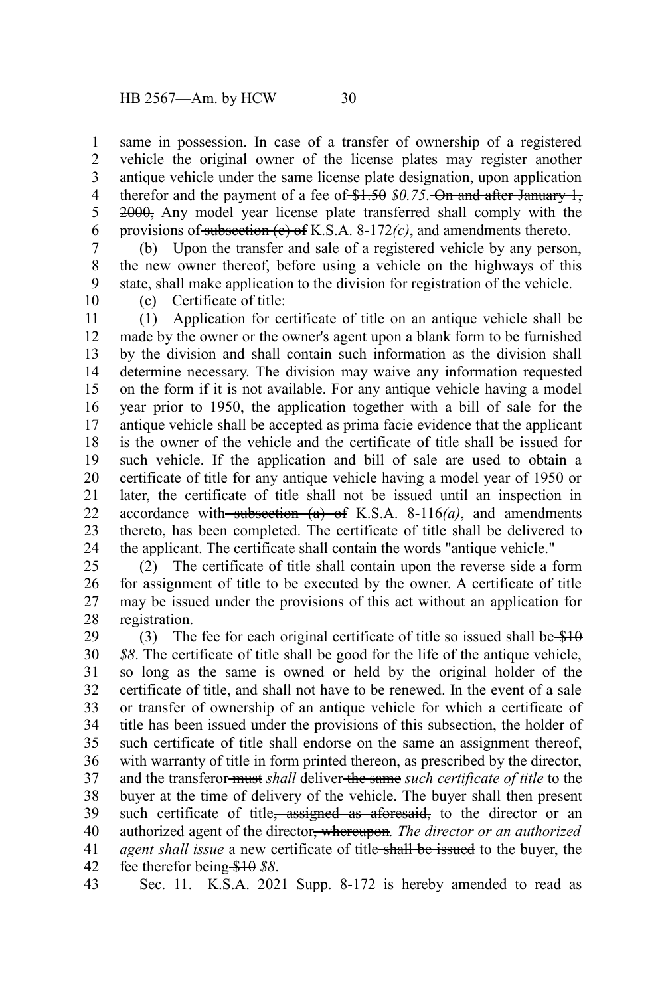same in possession. In case of a transfer of ownership of a registered vehicle the original owner of the license plates may register another antique vehicle under the same license plate designation, upon application therefor and the payment of a fee of  $$1.50$   $$0.75$ . On and after January 1, 2000, Any model year license plate transferred shall comply with the provisions of subsection (c) of K.S.A. 8-172*(c)*, and amendments thereto. 1 2 3 4 5 6

(b) Upon the transfer and sale of a registered vehicle by any person, the new owner thereof, before using a vehicle on the highways of this state, shall make application to the division for registration of the vehicle. 7 8 9

10

(c) Certificate of title:

(1) Application for certificate of title on an antique vehicle shall be made by the owner or the owner's agent upon a blank form to be furnished by the division and shall contain such information as the division shall determine necessary. The division may waive any information requested on the form if it is not available. For any antique vehicle having a model year prior to 1950, the application together with a bill of sale for the antique vehicle shall be accepted as prima facie evidence that the applicant is the owner of the vehicle and the certificate of title shall be issued for such vehicle. If the application and bill of sale are used to obtain a certificate of title for any antique vehicle having a model year of 1950 or later, the certificate of title shall not be issued until an inspection in accordance with subsection  $(a)$  of K.S.A. 8-116 $(a)$ , and amendments thereto, has been completed. The certificate of title shall be delivered to the applicant. The certificate shall contain the words "antique vehicle." 11 12 13 14 15 16 17 18 19 20 21 22 23 24

(2) The certificate of title shall contain upon the reverse side a form for assignment of title to be executed by the owner. A certificate of title may be issued under the provisions of this act without an application for registration. 25 26 27 28

(3) The fee for each original certificate of title so issued shall be  $$10$ *\$8*. The certificate of title shall be good for the life of the antique vehicle, so long as the same is owned or held by the original holder of the certificate of title, and shall not have to be renewed. In the event of a sale or transfer of ownership of an antique vehicle for which a certificate of title has been issued under the provisions of this subsection, the holder of such certificate of title shall endorse on the same an assignment thereof, with warranty of title in form printed thereon, as prescribed by the director, and the transferor must *shall* deliver the same *such certificate of title* to the buyer at the time of delivery of the vehicle. The buyer shall then present such certificate of title, assigned as aforesaid, to the director or an authorized agent of the director, whereupon*. The director or an authorized agent shall issue* a new certificate of title shall be issued to the buyer, the fee therefor being \$10 *\$8*. 29 30 31 32 33 34 35 36 37 38 39 40 41 42

Sec. 11. K.S.A. 2021 Supp. 8-172 is hereby amended to read as 43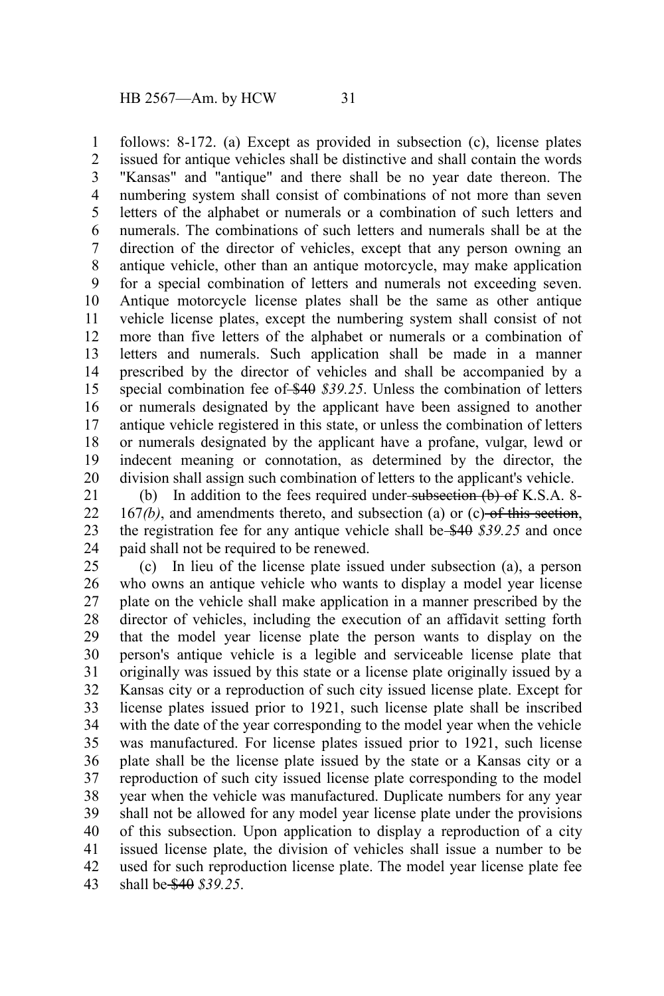follows: 8-172. (a) Except as provided in subsection (c), license plates issued for antique vehicles shall be distinctive and shall contain the words "Kansas" and "antique" and there shall be no year date thereon. The numbering system shall consist of combinations of not more than seven letters of the alphabet or numerals or a combination of such letters and numerals. The combinations of such letters and numerals shall be at the direction of the director of vehicles, except that any person owning an antique vehicle, other than an antique motorcycle, may make application for a special combination of letters and numerals not exceeding seven. Antique motorcycle license plates shall be the same as other antique vehicle license plates, except the numbering system shall consist of not more than five letters of the alphabet or numerals or a combination of letters and numerals. Such application shall be made in a manner prescribed by the director of vehicles and shall be accompanied by a special combination fee of \$40 \$39.25. Unless the combination of letters or numerals designated by the applicant have been assigned to another antique vehicle registered in this state, or unless the combination of letters or numerals designated by the applicant have a profane, vulgar, lewd or indecent meaning or connotation, as determined by the director, the division shall assign such combination of letters to the applicant's vehicle. 1 2 3 4 5 6 7 8 9 10 11 12 13 14 15 16 17 18 19 20

(b) In addition to the fees required under subsection  $(b)$  of K.S.A. 8- $167<sub>(b)</sub>$ , and amendments thereto, and subsection (a) or (c)-of this section, the registration fee for any antique vehicle shall be \$40 *\$39.25* and once paid shall not be required to be renewed. 21 22 23 24

(c) In lieu of the license plate issued under subsection (a), a person who owns an antique vehicle who wants to display a model year license plate on the vehicle shall make application in a manner prescribed by the director of vehicles, including the execution of an affidavit setting forth that the model year license plate the person wants to display on the person's antique vehicle is a legible and serviceable license plate that originally was issued by this state or a license plate originally issued by a Kansas city or a reproduction of such city issued license plate. Except for license plates issued prior to 1921, such license plate shall be inscribed with the date of the year corresponding to the model year when the vehicle was manufactured. For license plates issued prior to 1921, such license plate shall be the license plate issued by the state or a Kansas city or a reproduction of such city issued license plate corresponding to the model year when the vehicle was manufactured. Duplicate numbers for any year shall not be allowed for any model year license plate under the provisions of this subsection. Upon application to display a reproduction of a city issued license plate, the division of vehicles shall issue a number to be used for such reproduction license plate. The model year license plate fee shall be \$40 *\$39.25*. 25 26 27 28 29 30 31 32 33 34 35 36 37 38 39 40 41 42 43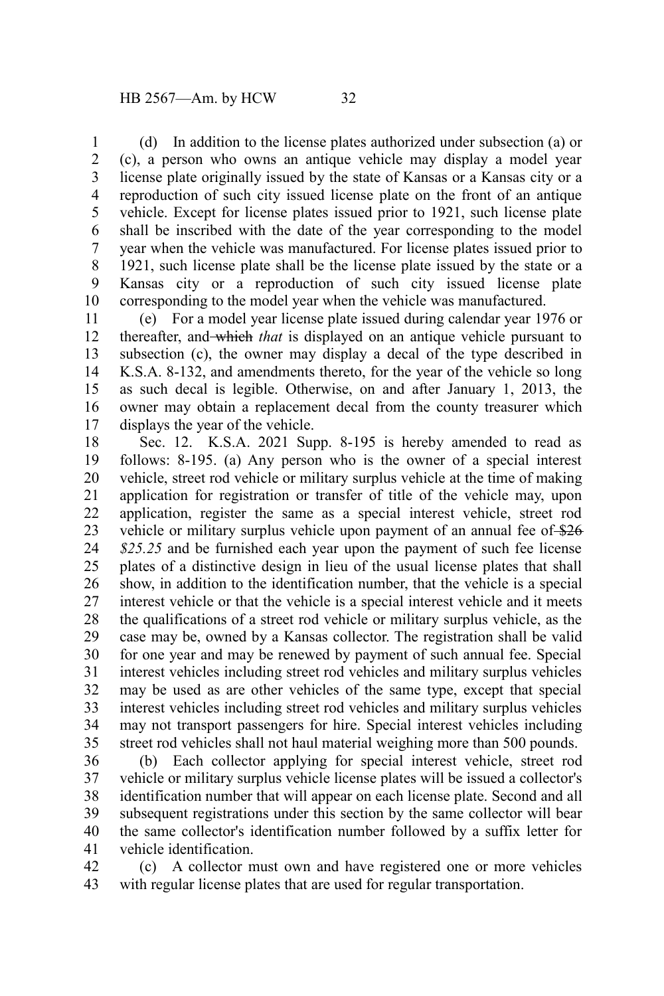(d) In addition to the license plates authorized under subsection (a) or (c), a person who owns an antique vehicle may display a model year license plate originally issued by the state of Kansas or a Kansas city or a reproduction of such city issued license plate on the front of an antique vehicle. Except for license plates issued prior to 1921, such license plate shall be inscribed with the date of the year corresponding to the model year when the vehicle was manufactured. For license plates issued prior to 1921, such license plate shall be the license plate issued by the state or a Kansas city or a reproduction of such city issued license plate corresponding to the model year when the vehicle was manufactured. 1 2 3 4 5 6 7 8 9 10

(e) For a model year license plate issued during calendar year 1976 or thereafter, and which *that* is displayed on an antique vehicle pursuant to subsection (c), the owner may display a decal of the type described in K.S.A. 8-132, and amendments thereto, for the year of the vehicle so long as such decal is legible. Otherwise, on and after January 1, 2013, the owner may obtain a replacement decal from the county treasurer which displays the year of the vehicle. 11 12 13 14 15 16 17

Sec. 12. K.S.A. 2021 Supp. 8-195 is hereby amended to read as follows: 8-195. (a) Any person who is the owner of a special interest vehicle, street rod vehicle or military surplus vehicle at the time of making application for registration or transfer of title of the vehicle may, upon application, register the same as a special interest vehicle, street rod vehicle or military surplus vehicle upon payment of an annual fee of \$26 *\$25.25* and be furnished each year upon the payment of such fee license plates of a distinctive design in lieu of the usual license plates that shall show, in addition to the identification number, that the vehicle is a special interest vehicle or that the vehicle is a special interest vehicle and it meets the qualifications of a street rod vehicle or military surplus vehicle, as the case may be, owned by a Kansas collector. The registration shall be valid for one year and may be renewed by payment of such annual fee. Special interest vehicles including street rod vehicles and military surplus vehicles may be used as are other vehicles of the same type, except that special interest vehicles including street rod vehicles and military surplus vehicles may not transport passengers for hire. Special interest vehicles including street rod vehicles shall not haul material weighing more than 500 pounds. 18 19 20 21 22 23 24 25 26 27 28 29 30 31 32 33 34 35

(b) Each collector applying for special interest vehicle, street rod vehicle or military surplus vehicle license plates will be issued a collector's identification number that will appear on each license plate. Second and all subsequent registrations under this section by the same collector will bear the same collector's identification number followed by a suffix letter for vehicle identification. 36 37 38 39 40 41

(c) A collector must own and have registered one or more vehicles with regular license plates that are used for regular transportation. 42 43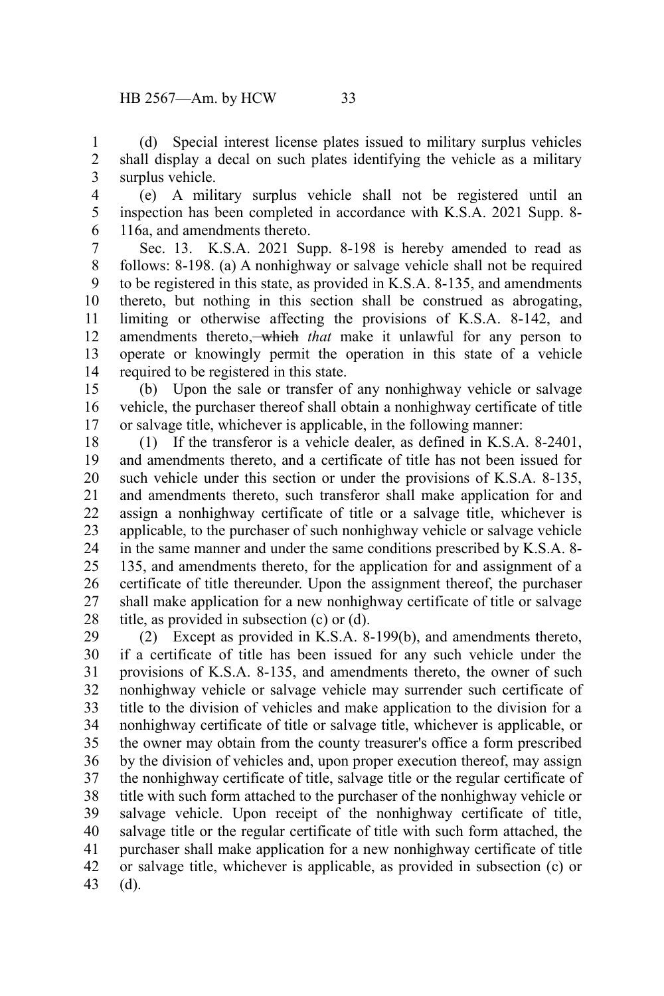(d) Special interest license plates issued to military surplus vehicles shall display a decal on such plates identifying the vehicle as a military surplus vehicle. 1 2 3

(e) A military surplus vehicle shall not be registered until an inspection has been completed in accordance with K.S.A. 2021 Supp. 8- 116a, and amendments thereto. 4 5 6

Sec. 13. K.S.A. 2021 Supp. 8-198 is hereby amended to read as follows: 8-198. (a) A nonhighway or salvage vehicle shall not be required to be registered in this state, as provided in K.S.A. 8-135, and amendments thereto, but nothing in this section shall be construed as abrogating, limiting or otherwise affecting the provisions of K.S.A. 8-142, and amendments thereto, which *that* make it unlawful for any person to operate or knowingly permit the operation in this state of a vehicle required to be registered in this state. 7 8 9 10 11 12 13 14

(b) Upon the sale or transfer of any nonhighway vehicle or salvage vehicle, the purchaser thereof shall obtain a nonhighway certificate of title or salvage title, whichever is applicable, in the following manner: 15 16 17

(1) If the transferor is a vehicle dealer, as defined in K.S.A. 8-2401, and amendments thereto, and a certificate of title has not been issued for such vehicle under this section or under the provisions of K.S.A. 8-135, and amendments thereto, such transferor shall make application for and assign a nonhighway certificate of title or a salvage title, whichever is applicable, to the purchaser of such nonhighway vehicle or salvage vehicle in the same manner and under the same conditions prescribed by K.S.A. 8- 135, and amendments thereto, for the application for and assignment of a certificate of title thereunder. Upon the assignment thereof, the purchaser shall make application for a new nonhighway certificate of title or salvage title, as provided in subsection (c) or (d). 18 19 20 21 22 23 24 25 26 27 28

(2) Except as provided in K.S.A. 8-199(b), and amendments thereto, if a certificate of title has been issued for any such vehicle under the provisions of K.S.A. 8-135, and amendments thereto, the owner of such nonhighway vehicle or salvage vehicle may surrender such certificate of title to the division of vehicles and make application to the division for a nonhighway certificate of title or salvage title, whichever is applicable, or the owner may obtain from the county treasurer's office a form prescribed by the division of vehicles and, upon proper execution thereof, may assign the nonhighway certificate of title, salvage title or the regular certificate of title with such form attached to the purchaser of the nonhighway vehicle or salvage vehicle. Upon receipt of the nonhighway certificate of title, salvage title or the regular certificate of title with such form attached, the purchaser shall make application for a new nonhighway certificate of title or salvage title, whichever is applicable, as provided in subsection (c) or (d). 29 30 31 32 33 34 35 36 37 38 39 40 41 42 43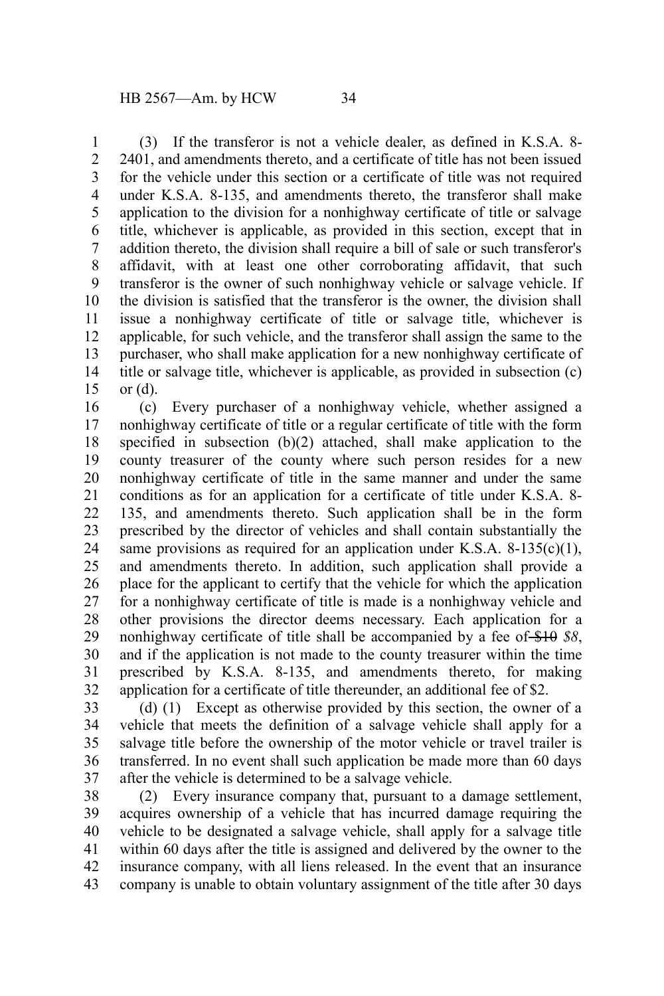(3) If the transferor is not a vehicle dealer, as defined in K.S.A. 8- 2401, and amendments thereto, and a certificate of title has not been issued for the vehicle under this section or a certificate of title was not required under K.S.A. 8-135, and amendments thereto, the transferor shall make application to the division for a nonhighway certificate of title or salvage title, whichever is applicable, as provided in this section, except that in addition thereto, the division shall require a bill of sale or such transferor's affidavit, with at least one other corroborating affidavit, that such transferor is the owner of such nonhighway vehicle or salvage vehicle. If the division is satisfied that the transferor is the owner, the division shall issue a nonhighway certificate of title or salvage title, whichever is applicable, for such vehicle, and the transferor shall assign the same to the purchaser, who shall make application for a new nonhighway certificate of title or salvage title, whichever is applicable, as provided in subsection (c) or (d). 1 2 3 4 5 6 7 8 9 10 11 12 13 14 15

(c) Every purchaser of a nonhighway vehicle, whether assigned a nonhighway certificate of title or a regular certificate of title with the form specified in subsection (b)(2) attached, shall make application to the county treasurer of the county where such person resides for a new nonhighway certificate of title in the same manner and under the same conditions as for an application for a certificate of title under K.S.A. 8- 135, and amendments thereto. Such application shall be in the form prescribed by the director of vehicles and shall contain substantially the same provisions as required for an application under K.S.A. 8-135(c)(1), and amendments thereto. In addition, such application shall provide a place for the applicant to certify that the vehicle for which the application for a nonhighway certificate of title is made is a nonhighway vehicle and other provisions the director deems necessary. Each application for a nonhighway certificate of title shall be accompanied by a fee of \$10 *\$8*, and if the application is not made to the county treasurer within the time prescribed by K.S.A. 8-135, and amendments thereto, for making application for a certificate of title thereunder, an additional fee of \$2. 16 17 18 19 20 21 22 23 24 25 26 27 28 29 30 31 32

(d) (1) Except as otherwise provided by this section, the owner of a vehicle that meets the definition of a salvage vehicle shall apply for a salvage title before the ownership of the motor vehicle or travel trailer is transferred. In no event shall such application be made more than 60 days after the vehicle is determined to be a salvage vehicle. 33 34 35 36 37

(2) Every insurance company that, pursuant to a damage settlement, acquires ownership of a vehicle that has incurred damage requiring the vehicle to be designated a salvage vehicle, shall apply for a salvage title within 60 days after the title is assigned and delivered by the owner to the insurance company, with all liens released. In the event that an insurance company is unable to obtain voluntary assignment of the title after 30 days 38 39 40 41 42 43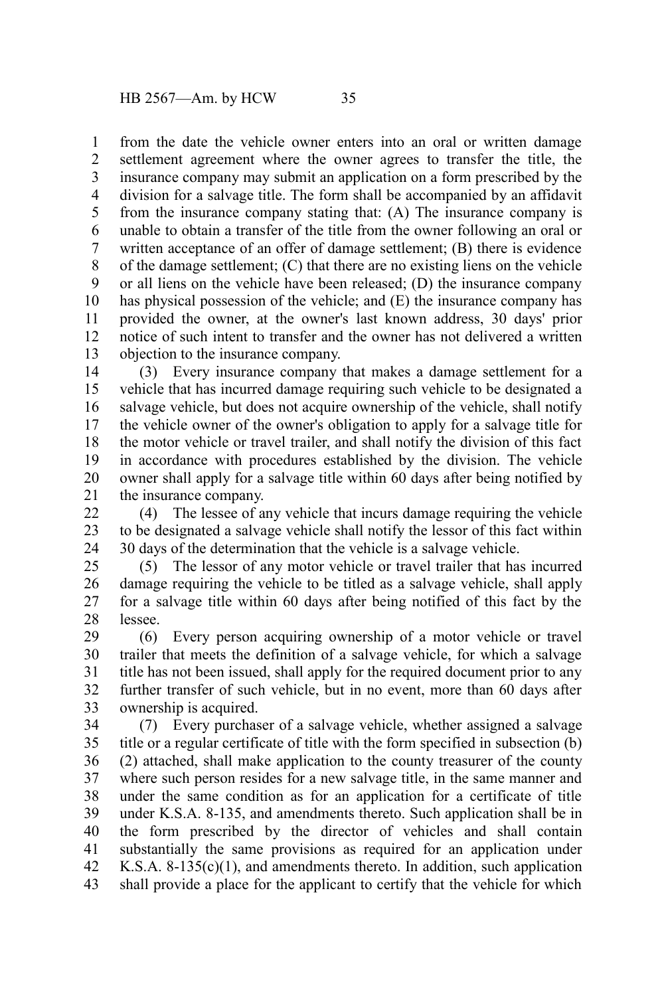from the date the vehicle owner enters into an oral or written damage settlement agreement where the owner agrees to transfer the title, the insurance company may submit an application on a form prescribed by the division for a salvage title. The form shall be accompanied by an affidavit from the insurance company stating that: (A) The insurance company is unable to obtain a transfer of the title from the owner following an oral or written acceptance of an offer of damage settlement; (B) there is evidence of the damage settlement; (C) that there are no existing liens on the vehicle or all liens on the vehicle have been released; (D) the insurance company has physical possession of the vehicle; and (E) the insurance company has provided the owner, at the owner's last known address, 30 days' prior notice of such intent to transfer and the owner has not delivered a written objection to the insurance company. 1 2 3 4 5 6 7 8 9 10 11 12 13

(3) Every insurance company that makes a damage settlement for a vehicle that has incurred damage requiring such vehicle to be designated a salvage vehicle, but does not acquire ownership of the vehicle, shall notify the vehicle owner of the owner's obligation to apply for a salvage title for the motor vehicle or travel trailer, and shall notify the division of this fact in accordance with procedures established by the division. The vehicle owner shall apply for a salvage title within 60 days after being notified by the insurance company. 14 15 16 17 18 19 20 21

(4) The lessee of any vehicle that incurs damage requiring the vehicle to be designated a salvage vehicle shall notify the lessor of this fact within 30 days of the determination that the vehicle is a salvage vehicle. 22 23 24

(5) The lessor of any motor vehicle or travel trailer that has incurred damage requiring the vehicle to be titled as a salvage vehicle, shall apply for a salvage title within 60 days after being notified of this fact by the lessee. 25 26 27 28

(6) Every person acquiring ownership of a motor vehicle or travel trailer that meets the definition of a salvage vehicle, for which a salvage title has not been issued, shall apply for the required document prior to any further transfer of such vehicle, but in no event, more than 60 days after ownership is acquired. 29 30 31 32 33

(7) Every purchaser of a salvage vehicle, whether assigned a salvage title or a regular certificate of title with the form specified in subsection (b) (2) attached, shall make application to the county treasurer of the county where such person resides for a new salvage title, in the same manner and under the same condition as for an application for a certificate of title under K.S.A. 8-135, and amendments thereto. Such application shall be in the form prescribed by the director of vehicles and shall contain substantially the same provisions as required for an application under K.S.A.  $8-135(c)(1)$ , and amendments thereto. In addition, such application shall provide a place for the applicant to certify that the vehicle for which 34 35 36 37 38 39 40 41 42 43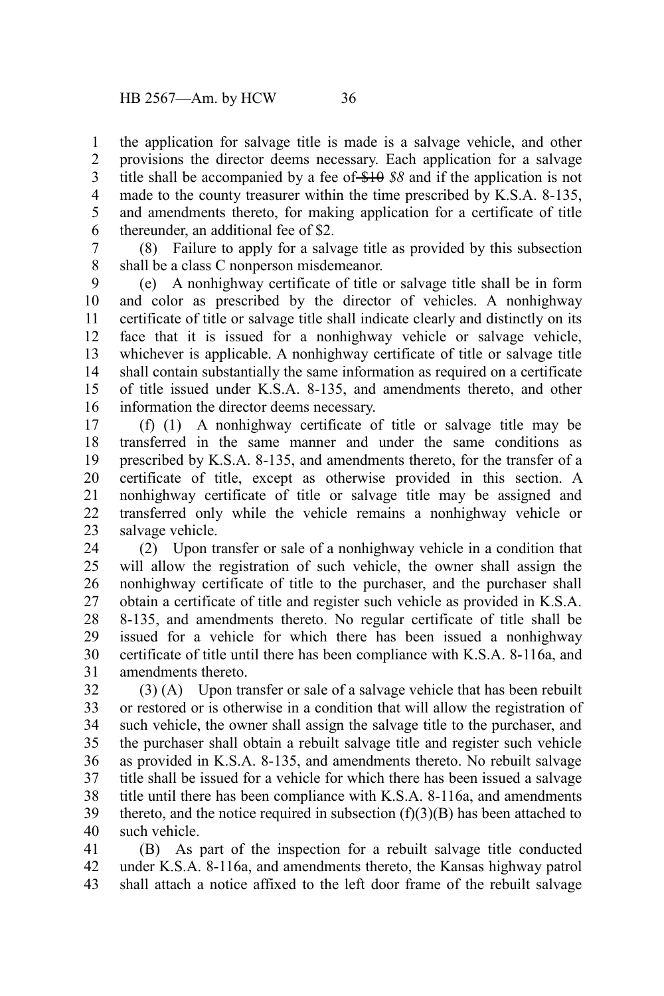the application for salvage title is made is a salvage vehicle, and other provisions the director deems necessary. Each application for a salvage title shall be accompanied by a fee of \$10 *\$8* and if the application is not made to the county treasurer within the time prescribed by K.S.A. 8-135, and amendments thereto, for making application for a certificate of title thereunder, an additional fee of \$2. 1 2 3 4 5 6

(8) Failure to apply for a salvage title as provided by this subsection shall be a class C nonperson misdemeanor. 7 8

(e) A nonhighway certificate of title or salvage title shall be in form and color as prescribed by the director of vehicles. A nonhighway certificate of title or salvage title shall indicate clearly and distinctly on its face that it is issued for a nonhighway vehicle or salvage vehicle, whichever is applicable. A nonhighway certificate of title or salvage title shall contain substantially the same information as required on a certificate of title issued under K.S.A. 8-135, and amendments thereto, and other information the director deems necessary. 9 10 11 12 13 14 15 16

(f) (1) A nonhighway certificate of title or salvage title may be transferred in the same manner and under the same conditions as prescribed by K.S.A. 8-135, and amendments thereto, for the transfer of a certificate of title, except as otherwise provided in this section. A nonhighway certificate of title or salvage title may be assigned and transferred only while the vehicle remains a nonhighway vehicle or salvage vehicle. 17 18 19 20 21 22 23

(2) Upon transfer or sale of a nonhighway vehicle in a condition that will allow the registration of such vehicle, the owner shall assign the nonhighway certificate of title to the purchaser, and the purchaser shall obtain a certificate of title and register such vehicle as provided in K.S.A. 8-135, and amendments thereto. No regular certificate of title shall be issued for a vehicle for which there has been issued a nonhighway certificate of title until there has been compliance with K.S.A. 8-116a, and amendments thereto. 24 25 26 27 28 29 30 31

(3) (A) Upon transfer or sale of a salvage vehicle that has been rebuilt or restored or is otherwise in a condition that will allow the registration of such vehicle, the owner shall assign the salvage title to the purchaser, and the purchaser shall obtain a rebuilt salvage title and register such vehicle as provided in K.S.A. 8-135, and amendments thereto. No rebuilt salvage title shall be issued for a vehicle for which there has been issued a salvage title until there has been compliance with K.S.A. 8-116a, and amendments thereto, and the notice required in subsection  $(f)(3)(B)$  has been attached to such vehicle. 32 33 34 35 36 37 38 39 40

(B) As part of the inspection for a rebuilt salvage title conducted under K.S.A. 8-116a, and amendments thereto, the Kansas highway patrol shall attach a notice affixed to the left door frame of the rebuilt salvage 41 42 43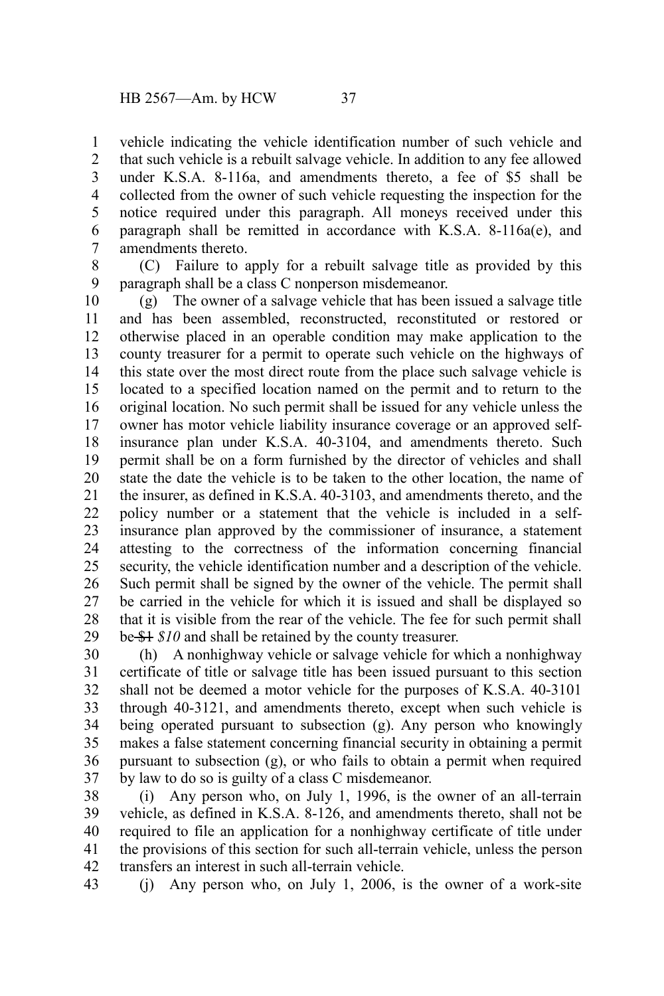vehicle indicating the vehicle identification number of such vehicle and that such vehicle is a rebuilt salvage vehicle. In addition to any fee allowed under K.S.A. 8-116a, and amendments thereto, a fee of \$5 shall be collected from the owner of such vehicle requesting the inspection for the notice required under this paragraph. All moneys received under this paragraph shall be remitted in accordance with K.S.A. 8-116a(e), and amendments thereto. 1 2 3 4 5 6 7

8

(C) Failure to apply for a rebuilt salvage title as provided by this paragraph shall be a class C nonperson misdemeanor. 9

(g) The owner of a salvage vehicle that has been issued a salvage title and has been assembled, reconstructed, reconstituted or restored or otherwise placed in an operable condition may make application to the county treasurer for a permit to operate such vehicle on the highways of this state over the most direct route from the place such salvage vehicle is located to a specified location named on the permit and to return to the original location. No such permit shall be issued for any vehicle unless the owner has motor vehicle liability insurance coverage or an approved selfinsurance plan under K.S.A. 40-3104, and amendments thereto. Such permit shall be on a form furnished by the director of vehicles and shall state the date the vehicle is to be taken to the other location, the name of the insurer, as defined in K.S.A. 40-3103, and amendments thereto, and the policy number or a statement that the vehicle is included in a selfinsurance plan approved by the commissioner of insurance, a statement attesting to the correctness of the information concerning financial security, the vehicle identification number and a description of the vehicle. Such permit shall be signed by the owner of the vehicle. The permit shall be carried in the vehicle for which it is issued and shall be displayed so that it is visible from the rear of the vehicle. The fee for such permit shall be \$1 *\$10* and shall be retained by the county treasurer. 10 11 12 13 14 15 16 17 18 19 20 21 22 23 24 25 26 27 28 29

(h) A nonhighway vehicle or salvage vehicle for which a nonhighway certificate of title or salvage title has been issued pursuant to this section shall not be deemed a motor vehicle for the purposes of K.S.A. 40-3101 through 40-3121, and amendments thereto, except when such vehicle is being operated pursuant to subsection (g). Any person who knowingly makes a false statement concerning financial security in obtaining a permit pursuant to subsection (g), or who fails to obtain a permit when required by law to do so is guilty of a class C misdemeanor. 30 31 32 33 34 35 36 37

(i) Any person who, on July 1, 1996, is the owner of an all-terrain vehicle, as defined in K.S.A. 8-126, and amendments thereto, shall not be required to file an application for a nonhighway certificate of title under the provisions of this section for such all-terrain vehicle, unless the person transfers an interest in such all-terrain vehicle. 38 39 40 41 42

(j) Any person who, on July 1, 2006, is the owner of a work-site 43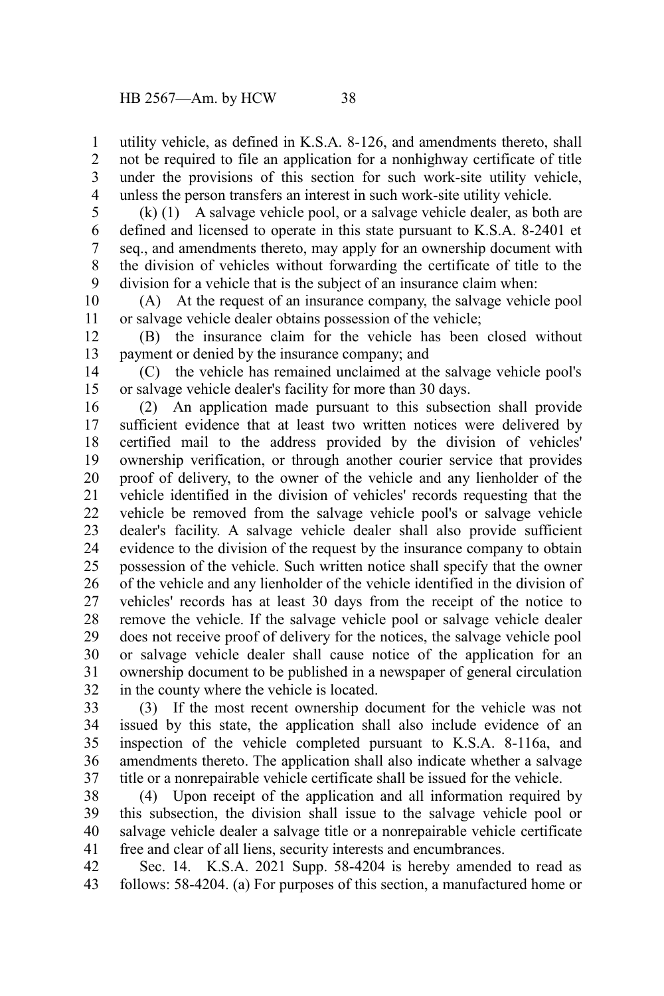utility vehicle, as defined in K.S.A. 8-126, and amendments thereto, shall not be required to file an application for a nonhighway certificate of title under the provisions of this section for such work-site utility vehicle, unless the person transfers an interest in such work-site utility vehicle. 1 2 3 4

(k) (1) A salvage vehicle pool, or a salvage vehicle dealer, as both are defined and licensed to operate in this state pursuant to K.S.A. 8-2401 et seq., and amendments thereto, may apply for an ownership document with the division of vehicles without forwarding the certificate of title to the division for a vehicle that is the subject of an insurance claim when: 5 6 7 8 9

(A) At the request of an insurance company, the salvage vehicle pool or salvage vehicle dealer obtains possession of the vehicle; 10 11

(B) the insurance claim for the vehicle has been closed without payment or denied by the insurance company; and 12 13

(C) the vehicle has remained unclaimed at the salvage vehicle pool's or salvage vehicle dealer's facility for more than 30 days. 14 15

(2) An application made pursuant to this subsection shall provide sufficient evidence that at least two written notices were delivered by certified mail to the address provided by the division of vehicles' ownership verification, or through another courier service that provides proof of delivery, to the owner of the vehicle and any lienholder of the vehicle identified in the division of vehicles' records requesting that the vehicle be removed from the salvage vehicle pool's or salvage vehicle dealer's facility. A salvage vehicle dealer shall also provide sufficient evidence to the division of the request by the insurance company to obtain possession of the vehicle. Such written notice shall specify that the owner of the vehicle and any lienholder of the vehicle identified in the division of vehicles' records has at least 30 days from the receipt of the notice to remove the vehicle. If the salvage vehicle pool or salvage vehicle dealer does not receive proof of delivery for the notices, the salvage vehicle pool or salvage vehicle dealer shall cause notice of the application for an ownership document to be published in a newspaper of general circulation in the county where the vehicle is located. 16 17 18 19 20 21 22 23 24 25 26 27 28 29 30 31 32

(3) If the most recent ownership document for the vehicle was not issued by this state, the application shall also include evidence of an inspection of the vehicle completed pursuant to K.S.A. 8-116a, and amendments thereto. The application shall also indicate whether a salvage title or a nonrepairable vehicle certificate shall be issued for the vehicle. 33 34 35 36 37

(4) Upon receipt of the application and all information required by this subsection, the division shall issue to the salvage vehicle pool or salvage vehicle dealer a salvage title or a nonrepairable vehicle certificate free and clear of all liens, security interests and encumbrances. 38 39 40 41

Sec. 14. K.S.A. 2021 Supp. 58-4204 is hereby amended to read as follows: 58-4204. (a) For purposes of this section, a manufactured home or 42 43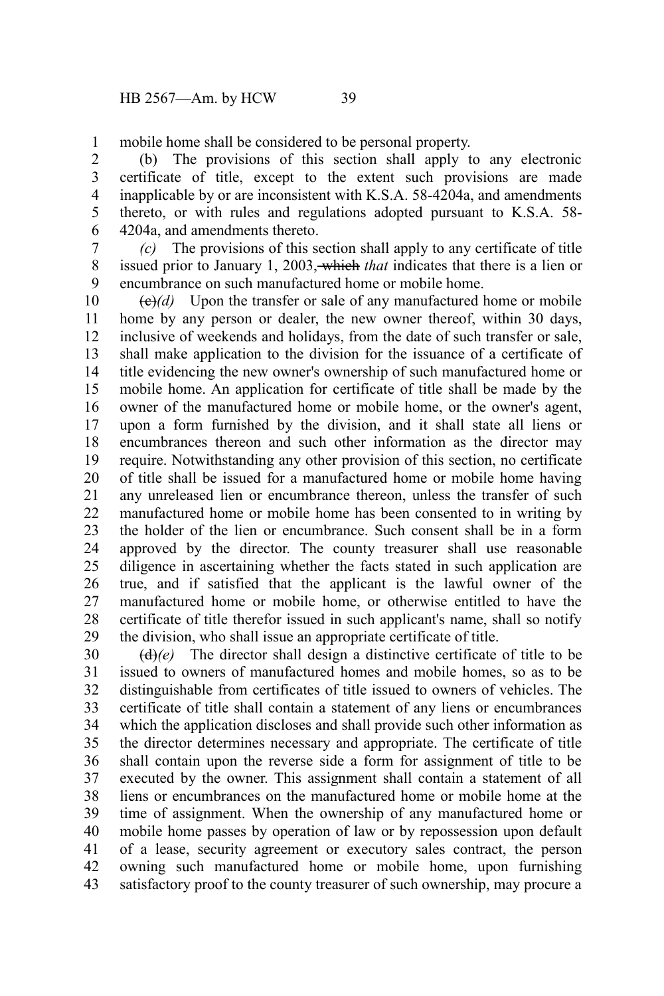mobile home shall be considered to be personal property. 1

(b) The provisions of this section shall apply to any electronic certificate of title, except to the extent such provisions are made inapplicable by or are inconsistent with K.S.A. 58-4204a, and amendments thereto, or with rules and regulations adopted pursuant to K.S.A. 58- 4204a, and amendments thereto. 2 3 4 5 6

*(c)* The provisions of this section shall apply to any certificate of title issued prior to January 1, 2003, which *that* indicates that there is a lien or encumbrance on such manufactured home or mobile home. 7 8 9

 $\left(\frac{\theta}{\theta}\right)(d)$  Upon the transfer or sale of any manufactured home or mobile home by any person or dealer, the new owner thereof, within 30 days, inclusive of weekends and holidays, from the date of such transfer or sale, shall make application to the division for the issuance of a certificate of title evidencing the new owner's ownership of such manufactured home or mobile home. An application for certificate of title shall be made by the owner of the manufactured home or mobile home, or the owner's agent, upon a form furnished by the division, and it shall state all liens or encumbrances thereon and such other information as the director may require. Notwithstanding any other provision of this section, no certificate of title shall be issued for a manufactured home or mobile home having any unreleased lien or encumbrance thereon, unless the transfer of such manufactured home or mobile home has been consented to in writing by the holder of the lien or encumbrance. Such consent shall be in a form approved by the director. The county treasurer shall use reasonable diligence in ascertaining whether the facts stated in such application are true, and if satisfied that the applicant is the lawful owner of the manufactured home or mobile home, or otherwise entitled to have the certificate of title therefor issued in such applicant's name, shall so notify the division, who shall issue an appropriate certificate of title. 10 11 12 13 14 15 16 17 18 19 20 21 22 23 24 25 26 27 28 29

(d)*(e)* The director shall design a distinctive certificate of title to be issued to owners of manufactured homes and mobile homes, so as to be distinguishable from certificates of title issued to owners of vehicles. The certificate of title shall contain a statement of any liens or encumbrances which the application discloses and shall provide such other information as the director determines necessary and appropriate. The certificate of title shall contain upon the reverse side a form for assignment of title to be executed by the owner. This assignment shall contain a statement of all liens or encumbrances on the manufactured home or mobile home at the time of assignment. When the ownership of any manufactured home or mobile home passes by operation of law or by repossession upon default of a lease, security agreement or executory sales contract, the person owning such manufactured home or mobile home, upon furnishing satisfactory proof to the county treasurer of such ownership, may procure a 30 31 32 33 34 35 36 37 38 39 40 41 42 43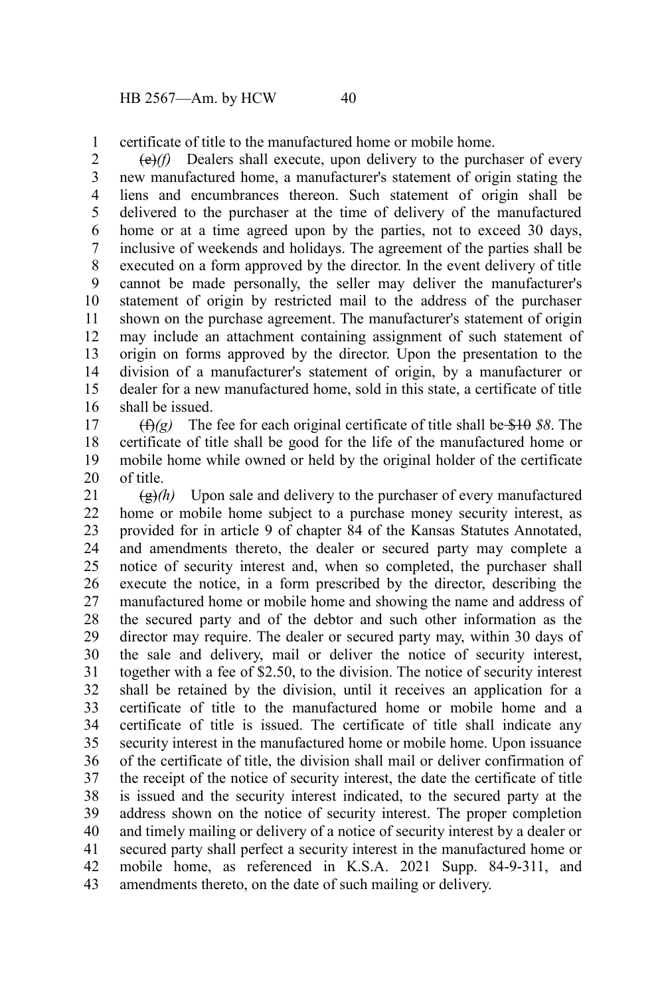certificate of title to the manufactured home or mobile home. 1

(e)*(f)* Dealers shall execute, upon delivery to the purchaser of every new manufactured home, a manufacturer's statement of origin stating the liens and encumbrances thereon. Such statement of origin shall be delivered to the purchaser at the time of delivery of the manufactured home or at a time agreed upon by the parties, not to exceed 30 days, inclusive of weekends and holidays. The agreement of the parties shall be executed on a form approved by the director. In the event delivery of title cannot be made personally, the seller may deliver the manufacturer's statement of origin by restricted mail to the address of the purchaser shown on the purchase agreement. The manufacturer's statement of origin may include an attachment containing assignment of such statement of origin on forms approved by the director. Upon the presentation to the division of a manufacturer's statement of origin, by a manufacturer or dealer for a new manufactured home, sold in this state, a certificate of title shall be issued. 2 3 4 5 6 7 8 9 10 11 12 13 14 15 16

(f)*(g)* The fee for each original certificate of title shall be \$10 *\$8*. The certificate of title shall be good for the life of the manufactured home or mobile home while owned or held by the original holder of the certificate of title. 17 18 19 20

 $\left(\frac{g}{g}\right)$  Upon sale and delivery to the purchaser of every manufactured home or mobile home subject to a purchase money security interest, as provided for in article 9 of chapter 84 of the Kansas Statutes Annotated, and amendments thereto, the dealer or secured party may complete a notice of security interest and, when so completed, the purchaser shall execute the notice, in a form prescribed by the director, describing the manufactured home or mobile home and showing the name and address of the secured party and of the debtor and such other information as the director may require. The dealer or secured party may, within 30 days of the sale and delivery, mail or deliver the notice of security interest, together with a fee of \$2.50, to the division. The notice of security interest shall be retained by the division, until it receives an application for a certificate of title to the manufactured home or mobile home and a certificate of title is issued. The certificate of title shall indicate any security interest in the manufactured home or mobile home. Upon issuance of the certificate of title, the division shall mail or deliver confirmation of the receipt of the notice of security interest, the date the certificate of title is issued and the security interest indicated, to the secured party at the address shown on the notice of security interest. The proper completion and timely mailing or delivery of a notice of security interest by a dealer or secured party shall perfect a security interest in the manufactured home or mobile home, as referenced in K.S.A. 2021 Supp. 84-9-311, and amendments thereto, on the date of such mailing or delivery. 21 22 23 24 25 26 27 28 29 30 31 32 33 34 35 36 37 38 39 40 41 42 43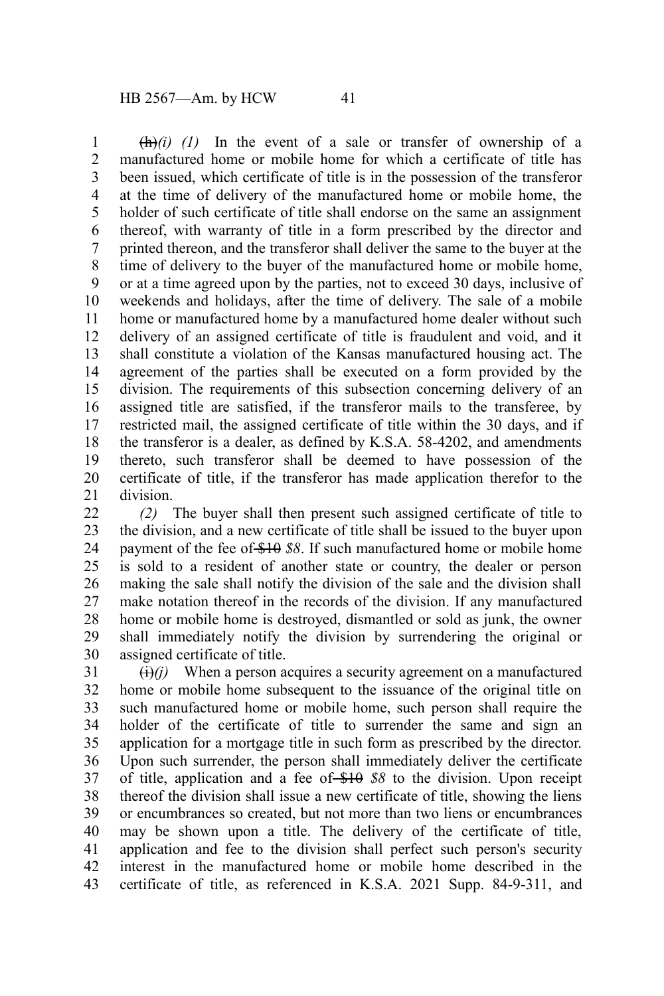$\left(\frac{h}{h}\right)(i)$  (1) In the event of a sale or transfer of ownership of a manufactured home or mobile home for which a certificate of title has been issued, which certificate of title is in the possession of the transferor at the time of delivery of the manufactured home or mobile home, the holder of such certificate of title shall endorse on the same an assignment thereof, with warranty of title in a form prescribed by the director and printed thereon, and the transferor shall deliver the same to the buyer at the time of delivery to the buyer of the manufactured home or mobile home, or at a time agreed upon by the parties, not to exceed 30 days, inclusive of weekends and holidays, after the time of delivery. The sale of a mobile home or manufactured home by a manufactured home dealer without such delivery of an assigned certificate of title is fraudulent and void, and it shall constitute a violation of the Kansas manufactured housing act. The agreement of the parties shall be executed on a form provided by the division. The requirements of this subsection concerning delivery of an assigned title are satisfied, if the transferor mails to the transferee, by restricted mail, the assigned certificate of title within the 30 days, and if the transferor is a dealer, as defined by K.S.A. 58-4202, and amendments thereto, such transferor shall be deemed to have possession of the certificate of title, if the transferor has made application therefor to the division. 1 2 3 4 5 6 7 8 9 10 11 12 13 14 15 16 17 18 19 20 21

*(2)* The buyer shall then present such assigned certificate of title to the division, and a new certificate of title shall be issued to the buyer upon payment of the fee of \$10 *\$8*. If such manufactured home or mobile home is sold to a resident of another state or country, the dealer or person making the sale shall notify the division of the sale and the division shall make notation thereof in the records of the division. If any manufactured home or mobile home is destroyed, dismantled or sold as junk, the owner shall immediately notify the division by surrendering the original or assigned certificate of title.  $22$ 23 24 25 26 27 28 29 30

 $\Theta(i)$  When a person acquires a security agreement on a manufactured home or mobile home subsequent to the issuance of the original title on such manufactured home or mobile home, such person shall require the holder of the certificate of title to surrender the same and sign an application for a mortgage title in such form as prescribed by the director. Upon such surrender, the person shall immediately deliver the certificate of title, application and a fee of \$10 \$8 to the division. Upon receipt thereof the division shall issue a new certificate of title, showing the liens or encumbrances so created, but not more than two liens or encumbrances may be shown upon a title. The delivery of the certificate of title, application and fee to the division shall perfect such person's security interest in the manufactured home or mobile home described in the certificate of title, as referenced in K.S.A. 2021 Supp. 84-9-311, and 31 32 33 34 35 36 37 38 39 40 41 42 43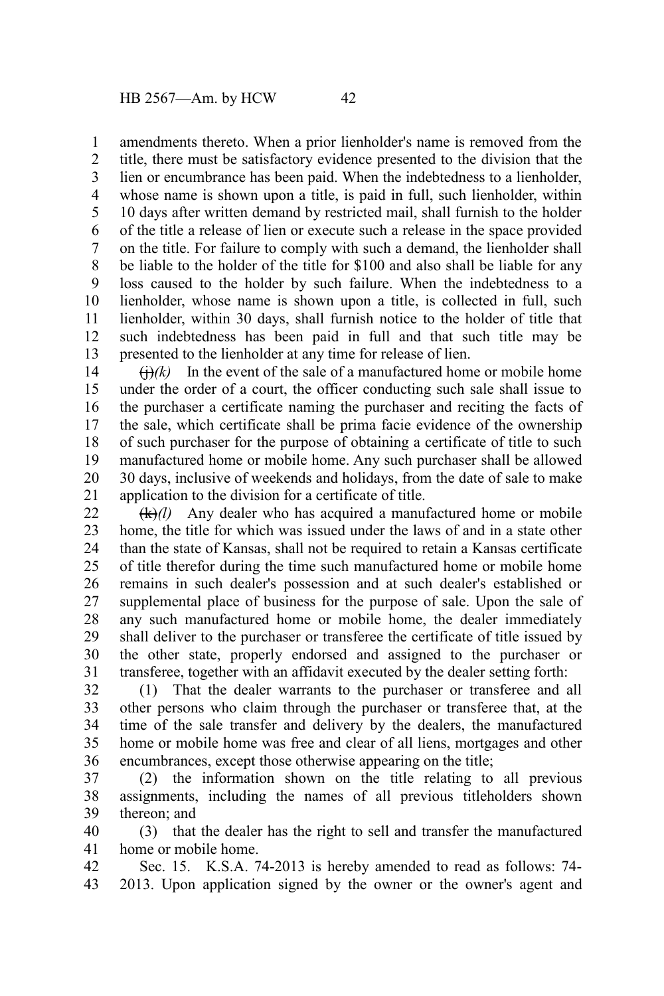amendments thereto. When a prior lienholder's name is removed from the 1

title, there must be satisfactory evidence presented to the division that the lien or encumbrance has been paid. When the indebtedness to a lienholder, whose name is shown upon a title, is paid in full, such lienholder, within 10 days after written demand by restricted mail, shall furnish to the holder of the title a release of lien or execute such a release in the space provided on the title. For failure to comply with such a demand, the lienholder shall be liable to the holder of the title for \$100 and also shall be liable for any loss caused to the holder by such failure. When the indebtedness to a lienholder, whose name is shown upon a title, is collected in full, such lienholder, within 30 days, shall furnish notice to the holder of title that such indebtedness has been paid in full and that such title may be presented to the lienholder at any time for release of lien. 2 3 4 5 6 7 8 9 10 11 12 13

 $\Theta(k)$  In the event of the sale of a manufactured home or mobile home under the order of a court, the officer conducting such sale shall issue to the purchaser a certificate naming the purchaser and reciting the facts of the sale, which certificate shall be prima facie evidence of the ownership of such purchaser for the purpose of obtaining a certificate of title to such manufactured home or mobile home. Any such purchaser shall be allowed 30 days, inclusive of weekends and holidays, from the date of sale to make application to the division for a certificate of title. 14 15 16 17 18 19 20 21

(k)*(l)* Any dealer who has acquired a manufactured home or mobile home, the title for which was issued under the laws of and in a state other than the state of Kansas, shall not be required to retain a Kansas certificate of title therefor during the time such manufactured home or mobile home remains in such dealer's possession and at such dealer's established or supplemental place of business for the purpose of sale. Upon the sale of any such manufactured home or mobile home, the dealer immediately shall deliver to the purchaser or transferee the certificate of title issued by the other state, properly endorsed and assigned to the purchaser or transferee, together with an affidavit executed by the dealer setting forth: 22 23 24 25 26 27 28 29 30 31

(1) That the dealer warrants to the purchaser or transferee and all other persons who claim through the purchaser or transferee that, at the time of the sale transfer and delivery by the dealers, the manufactured home or mobile home was free and clear of all liens, mortgages and other encumbrances, except those otherwise appearing on the title; 32 33 34 35 36

(2) the information shown on the title relating to all previous assignments, including the names of all previous titleholders shown thereon; and 37 38 39

(3) that the dealer has the right to sell and transfer the manufactured home or mobile home. 40 41

Sec. 15. K.S.A. 74-2013 is hereby amended to read as follows: 74- 2013. Upon application signed by the owner or the owner's agent and 42 43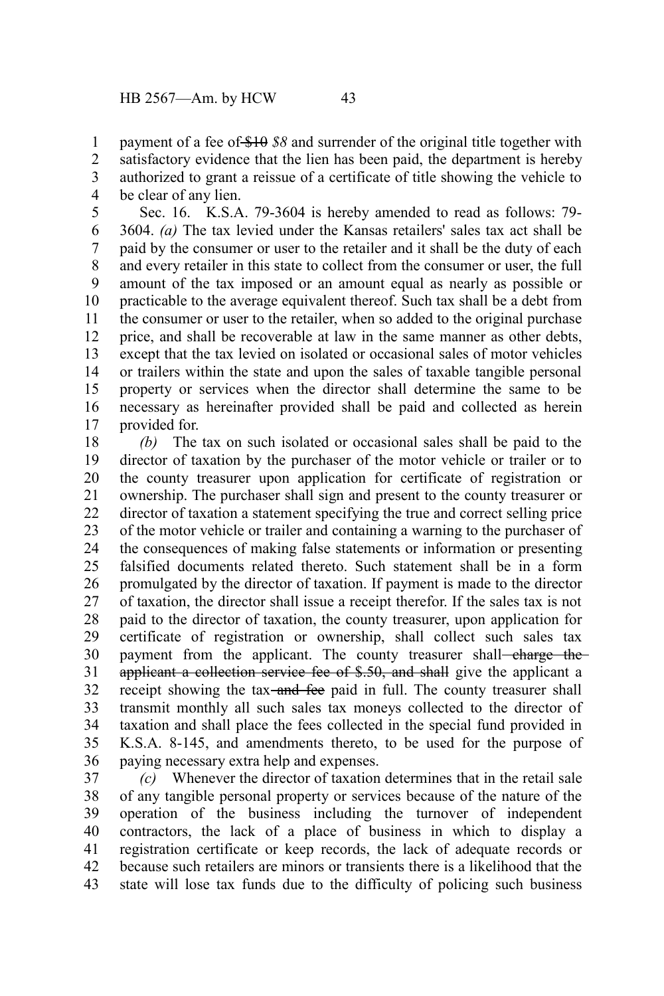payment of a fee of \$10 *\$8* and surrender of the original title together with satisfactory evidence that the lien has been paid, the department is hereby authorized to grant a reissue of a certificate of title showing the vehicle to be clear of any lien. 1 2 3 4

Sec. 16. K.S.A. 79-3604 is hereby amended to read as follows: 79- 3604. *(a)* The tax levied under the Kansas retailers' sales tax act shall be paid by the consumer or user to the retailer and it shall be the duty of each and every retailer in this state to collect from the consumer or user, the full amount of the tax imposed or an amount equal as nearly as possible or practicable to the average equivalent thereof. Such tax shall be a debt from the consumer or user to the retailer, when so added to the original purchase price, and shall be recoverable at law in the same manner as other debts, except that the tax levied on isolated or occasional sales of motor vehicles or trailers within the state and upon the sales of taxable tangible personal property or services when the director shall determine the same to be necessary as hereinafter provided shall be paid and collected as herein provided for. 5 6 7 8 9 10 11 12 13 14 15 16 17

*(b)* The tax on such isolated or occasional sales shall be paid to the director of taxation by the purchaser of the motor vehicle or trailer or to the county treasurer upon application for certificate of registration or ownership. The purchaser shall sign and present to the county treasurer or director of taxation a statement specifying the true and correct selling price of the motor vehicle or trailer and containing a warning to the purchaser of the consequences of making false statements or information or presenting falsified documents related thereto. Such statement shall be in a form promulgated by the director of taxation. If payment is made to the director of taxation, the director shall issue a receipt therefor. If the sales tax is not paid to the director of taxation, the county treasurer, upon application for certificate of registration or ownership, shall collect such sales tax payment from the applicant. The county treasurer shall-charge theapplicant a collection service fee of \$.50, and shall give the applicant a receipt showing the tax-and fee paid in full. The county treasurer shall transmit monthly all such sales tax moneys collected to the director of taxation and shall place the fees collected in the special fund provided in K.S.A. 8-145, and amendments thereto, to be used for the purpose of paying necessary extra help and expenses. 18 19 20 21 22 23 24 25 26 27 28 29 30 31 32 33 34 35 36

*(c)* Whenever the director of taxation determines that in the retail sale of any tangible personal property or services because of the nature of the operation of the business including the turnover of independent contractors, the lack of a place of business in which to display a registration certificate or keep records, the lack of adequate records or because such retailers are minors or transients there is a likelihood that the state will lose tax funds due to the difficulty of policing such business 37 38 39 40 41 42 43